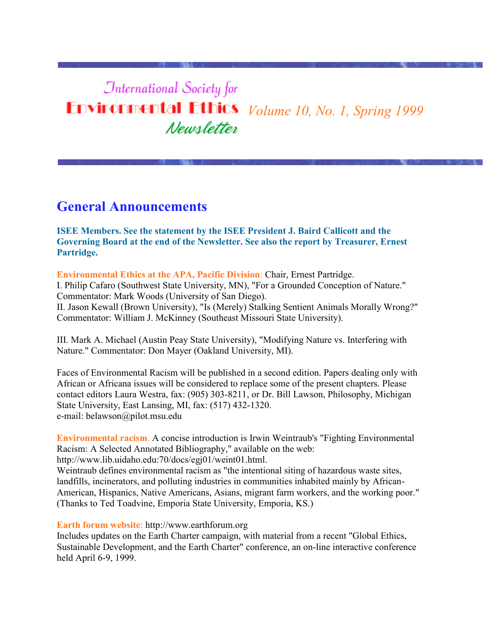# *<u>International Society</u>* for **Environmental Ethics** *Volume 10, No. 1, Spring 1999* Newsletter

### **General Announcements**

**ISEE Members. See the statement by the ISEE President J. Baird Callicott and the Governing Board at the end of the Newsletter. See also the report by Treasurer, Ernest Partridge.**

#### **Environmental Ethics at the APA, Pacific Division**: Chair, Ernest Partridge.

I. Philip Cafaro (Southwest State University, MN), "For a Grounded Conception of Nature." Commentator: Mark Woods (University of San Diego).

II. Jason Kewall (Brown University), "Is (Merely) Stalking Sentient Animals Morally Wrong?" Commentator: William J. McKinney (Southeast Missouri State University).

III. Mark A. Michael (Austin Peay State University), "Modifying Nature vs. Interfering with Nature." Commentator: Don Mayer (Oakland University, MI).

Faces of Environmental Racism will be published in a second edition. Papers dealing only with African or Africana issues will be considered to replace some of the present chapters. Please contact editors Laura Westra, fax: (905) 303-8211, or Dr. Bill Lawson, Philosophy, Michigan State University, East Lansing, MI, fax: (517) 432-1320. e-mail: belawson@pilot.msu.edu

**Environmental racism**. A concise introduction is Irwin Weintraub's "Fighting Environmental Racism: A Selected Annotated Bibliography," available on the web: http://www.lib.uidaho.edu:70/docs/egj01/weint01.html.

Weintraub defines environmental racism as "the intentional siting of hazardous waste sites, landfills, incinerators, and polluting industries in communities inhabited mainly by African-American, Hispanics, Native Americans, Asians, migrant farm workers, and the working poor." (Thanks to Ted Toadvine, Emporia State University, Emporia, KS.)

#### **Earth forum website**: http://www.earthforum.org

Includes updates on the Earth Charter campaign, with material from a recent "Global Ethics, Sustainable Development, and the Earth Charter" conference, an on-line interactive conference held April 6-9, 1999.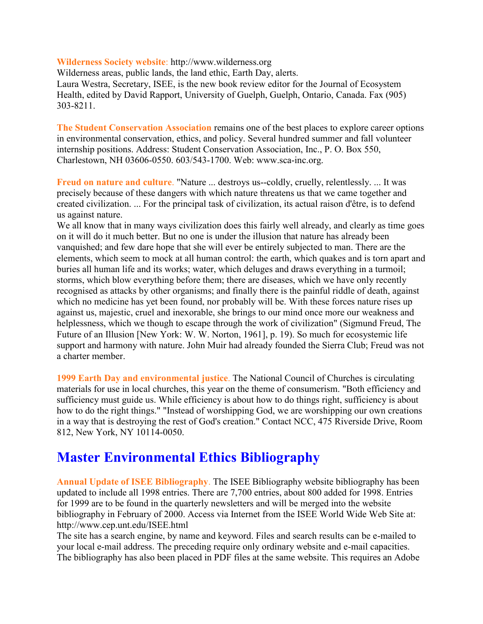#### **Wilderness Society website**: http://www.wilderness.org

Wilderness areas, public lands, the land ethic, Earth Day, alerts. Laura Westra, Secretary, ISEE, is the new book review editor for the Journal of Ecosystem Health, edited by David Rapport, University of Guelph, Guelph, Ontario, Canada. Fax (905) 303-8211.

**The Student Conservation Association** remains one of the best places to explore career options in environmental conservation, ethics, and policy. Several hundred summer and fall volunteer internship positions. Address: Student Conservation Association, Inc., P. O. Box 550, Charlestown, NH 03606-0550. 603/543-1700. Web: www.sca-inc.org.

**Freud on nature and culture**. "Nature ... destroys us--coldly, cruelly, relentlessly. ... It was precisely because of these dangers with which nature threatens us that we came together and created civilization. ... For the principal task of civilization, its actual raison d'être, is to defend us against nature.

We all know that in many ways civilization does this fairly well already, and clearly as time goes on it will do it much better. But no one is under the illusion that nature has already been vanquished; and few dare hope that she will ever be entirely subjected to man. There are the elements, which seem to mock at all human control: the earth, which quakes and is torn apart and buries all human life and its works; water, which deluges and draws everything in a turmoil; storms, which blow everything before them; there are diseases, which we have only recently recognised as attacks by other organisms; and finally there is the painful riddle of death, against which no medicine has yet been found, nor probably will be. With these forces nature rises up against us, majestic, cruel and inexorable, she brings to our mind once more our weakness and helplessness, which we though to escape through the work of civilization" (Sigmund Freud, The Future of an Illusion [New York: W. W. Norton, 1961], p. 19). So much for ecosystemic life support and harmony with nature. John Muir had already founded the Sierra Club; Freud was not a charter member.

**1999 Earth Day and environmental justice**. The National Council of Churches is circulating materials for use in local churches, this year on the theme of consumerism. "Both efficiency and sufficiency must guide us. While efficiency is about how to do things right, sufficiency is about how to do the right things." "Instead of worshipping God, we are worshipping our own creations in a way that is destroying the rest of God's creation." Contact NCC, 475 Riverside Drive, Room 812, New York, NY 10114-0050.

# **Master Environmental Ethics Bibliography**

**Annual Update of ISEE Bibliography**. The ISEE Bibliography website bibliography has been updated to include all 1998 entries. There are 7,700 entries, about 800 added for 1998. Entries for 1999 are to be found in the quarterly newsletters and will be merged into the website bibliography in February of 2000. Access via Internet from the ISEE World Wide Web Site at: http://www.cep.unt.edu/ISEE.html

The site has a search engine, by name and keyword. Files and search results can be e-mailed to your local e-mail address. The preceding require only ordinary website and e-mail capacities. The bibliography has also been placed in PDF files at the same website. This requires an Adobe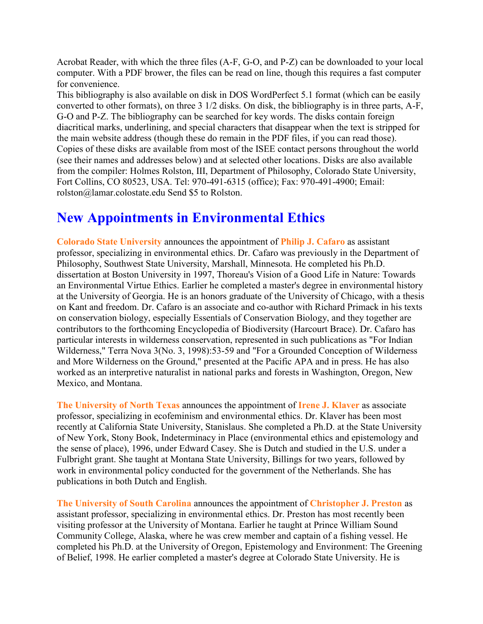Acrobat Reader, with which the three files (A-F, G-O, and P-Z) can be downloaded to your local computer. With a PDF brower, the files can be read on line, though this requires a fast computer for convenience.

This bibliography is also available on disk in DOS WordPerfect 5.1 format (which can be easily converted to other formats), on three 3 1/2 disks. On disk, the bibliography is in three parts, A-F, G-O and P-Z. The bibliography can be searched for key words. The disks contain foreign diacritical marks, underlining, and special characters that disappear when the text is stripped for the main website address (though these do remain in the PDF files, if you can read those). Copies of these disks are available from most of the ISEE contact persons throughout the world (see their names and addresses below) and at selected other locations. Disks are also available from the compiler: Holmes Rolston, III, Department of Philosophy, Colorado State University, Fort Collins, CO 80523, USA. Tel: 970-491-6315 (office); Fax: 970-491-4900; Email: rolston@lamar.colostate.edu Send \$5 to Rolston.

### **New Appointments in Environmental Ethics**

**Colorado State University** announces the appointment of **Philip J. Cafaro** as assistant professor, specializing in environmental ethics. Dr. Cafaro was previously in the Department of Philosophy, Southwest State University, Marshall, Minnesota. He completed his Ph.D. dissertation at Boston University in 1997, Thoreau's Vision of a Good Life in Nature: Towards an Environmental Virtue Ethics. Earlier he completed a master's degree in environmental history at the University of Georgia. He is an honors graduate of the University of Chicago, with a thesis on Kant and freedom. Dr. Cafaro is an associate and co-author with Richard Primack in his texts on conservation biology, especially Essentials of Conservation Biology, and they together are contributors to the forthcoming Encyclopedia of Biodiversity (Harcourt Brace). Dr. Cafaro has particular interests in wilderness conservation, represented in such publications as "For Indian Wilderness," Terra Nova 3(No. 3, 1998):53-59 and "For a Grounded Conception of Wilderness and More Wilderness on the Ground," presented at the Pacific APA and in press. He has also worked as an interpretive naturalist in national parks and forests in Washington, Oregon, New Mexico, and Montana.

**The University of North Texas** announces the appointment of **Irene J. Klaver** as associate professor, specializing in ecofeminism and environmental ethics. Dr. Klaver has been most recently at California State University, Stanislaus. She completed a Ph.D. at the State University of New York, Stony Book, Indeterminacy in Place (environmental ethics and epistemology and the sense of place), 1996, under Edward Casey. She is Dutch and studied in the U.S. under a Fulbright grant. She taught at Montana State University, Billings for two years, followed by work in environmental policy conducted for the government of the Netherlands. She has publications in both Dutch and English.

**The University of South Carolina** announces the appointment of **Christopher J. Preston** as assistant professor, specializing in environmental ethics. Dr. Preston has most recently been visiting professor at the University of Montana. Earlier he taught at Prince William Sound Community College, Alaska, where he was crew member and captain of a fishing vessel. He completed his Ph.D. at the University of Oregon, Epistemology and Environment: The Greening of Belief, 1998. He earlier completed a master's degree at Colorado State University. He is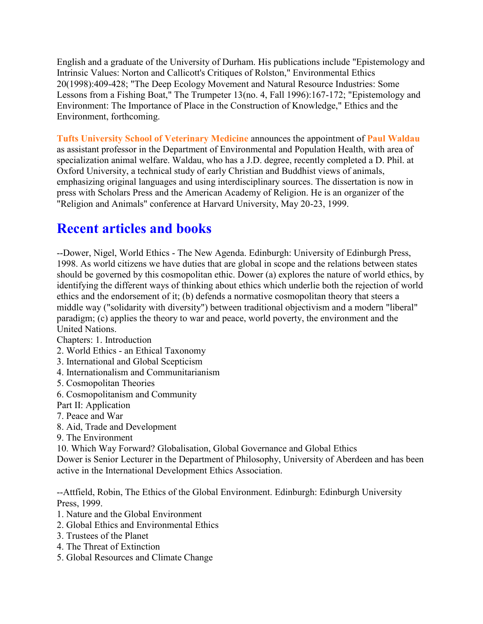English and a graduate of the University of Durham. His publications include "Epistemology and Intrinsic Values: Norton and Callicott's Critiques of Rolston," Environmental Ethics 20(1998):409-428; "The Deep Ecology Movement and Natural Resource Industries: Some Lessons from a Fishing Boat," The Trumpeter 13(no. 4, Fall 1996):167-172; "Epistemology and Environment: The Importance of Place in the Construction of Knowledge," Ethics and the Environment, forthcoming.

**Tufts University School of Veterinary Medicine** announces the appointment of **Paul Waldau** as assistant professor in the Department of Environmental and Population Health, with area of specialization animal welfare. Waldau, who has a J.D. degree, recently completed a D. Phil. at Oxford University, a technical study of early Christian and Buddhist views of animals, emphasizing original languages and using interdisciplinary sources. The dissertation is now in press with Scholars Press and the American Academy of Religion. He is an organizer of the "Religion and Animals" conference at Harvard University, May 20-23, 1999.

# **Recent articles and books**

--Dower, Nigel, World Ethics - The New Agenda. Edinburgh: University of Edinburgh Press, 1998. As world citizens we have duties that are global in scope and the relations between states should be governed by this cosmopolitan ethic. Dower (a) explores the nature of world ethics, by identifying the different ways of thinking about ethics which underlie both the rejection of world ethics and the endorsement of it; (b) defends a normative cosmopolitan theory that steers a middle way ("solidarity with diversity") between traditional objectivism and a modern "liberal" paradigm; (c) applies the theory to war and peace, world poverty, the environment and the United Nations.

Chapters: 1. Introduction

- 2. World Ethics an Ethical Taxonomy
- 3. International and Global Scepticism
- 4. Internationalism and Communitarianism
- 5. Cosmopolitan Theories
- 6. Cosmopolitanism and Community

Part II: Application

- 7. Peace and War
- 8. Aid, Trade and Development

9. The Environment

10. Which Way Forward? Globalisation, Global Governance and Global Ethics

Dower is Senior Lecturer in the Department of Philosophy, University of Aberdeen and has been active in the International Development Ethics Association.

--Attfield, Robin, The Ethics of the Global Environment. Edinburgh: Edinburgh University Press, 1999.

- 1. Nature and the Global Environment
- 2. Global Ethics and Environmental Ethics
- 3. Trustees of the Planet
- 4. The Threat of Extinction
- 5. Global Resources and Climate Change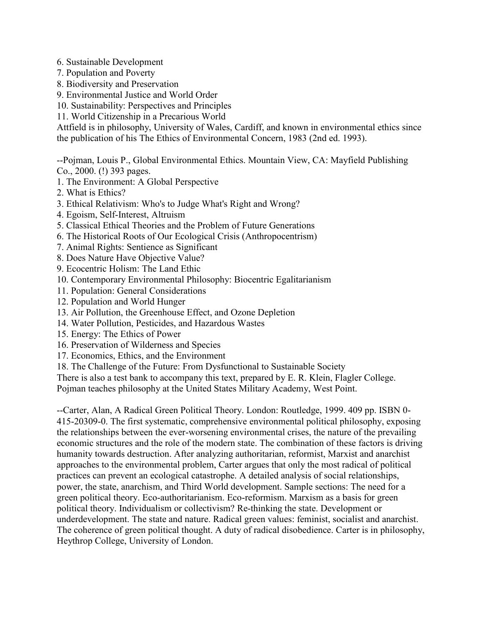6. Sustainable Development

- 7. Population and Poverty
- 8. Biodiversity and Preservation
- 9. Environmental Justice and World Order
- 10. Sustainability: Perspectives and Principles

11. World Citizenship in a Precarious World

Attfield is in philosophy, University of Wales, Cardiff, and known in environmental ethics since the publication of his The Ethics of Environmental Concern, 1983 (2nd ed. 1993).

--Pojman, Louis P., Global Environmental Ethics. Mountain View, CA: Mayfield Publishing Co., 2000. (!) 393 pages.

- 1. The Environment: A Global Perspective
- 2. What is Ethics?
- 3. Ethical Relativism: Who's to Judge What's Right and Wrong?
- 4. Egoism, Self-Interest, Altruism
- 5. Classical Ethical Theories and the Problem of Future Generations
- 6. The Historical Roots of Our Ecological Crisis (Anthropocentrism)
- 7. Animal Rights: Sentience as Significant
- 8. Does Nature Have Objective Value?
- 9. Ecocentric Holism: The Land Ethic
- 10. Contemporary Environmental Philosophy: Biocentric Egalitarianism
- 11. Population: General Considerations
- 12. Population and World Hunger
- 13. Air Pollution, the Greenhouse Effect, and Ozone Depletion
- 14. Water Pollution, Pesticides, and Hazardous Wastes
- 15. Energy: The Ethics of Power
- 16. Preservation of Wilderness and Species
- 17. Economics, Ethics, and the Environment
- 18. The Challenge of the Future: From Dysfunctional to Sustainable Society

There is also a test bank to accompany this text, prepared by E. R. Klein, Flagler College.

Pojman teaches philosophy at the United States Military Academy, West Point.

--Carter, Alan, A Radical Green Political Theory. London: Routledge, 1999. 409 pp. ISBN 0- 415-20309-0. The first systematic, comprehensive environmental political philosophy, exposing the relationships between the ever-worsening environmental crises, the nature of the prevailing economic structures and the role of the modern state. The combination of these factors is driving humanity towards destruction. After analyzing authoritarian, reformist, Marxist and anarchist approaches to the environmental problem, Carter argues that only the most radical of political practices can prevent an ecological catastrophe. A detailed analysis of social relationships, power, the state, anarchism, and Third World development. Sample sections: The need for a green political theory. Eco-authoritarianism. Eco-reformism. Marxism as a basis for green political theory. Individualism or collectivism? Re-thinking the state. Development or underdevelopment. The state and nature. Radical green values: feminist, socialist and anarchist. The coherence of green political thought. A duty of radical disobedience. Carter is in philosophy, Heythrop College, University of London.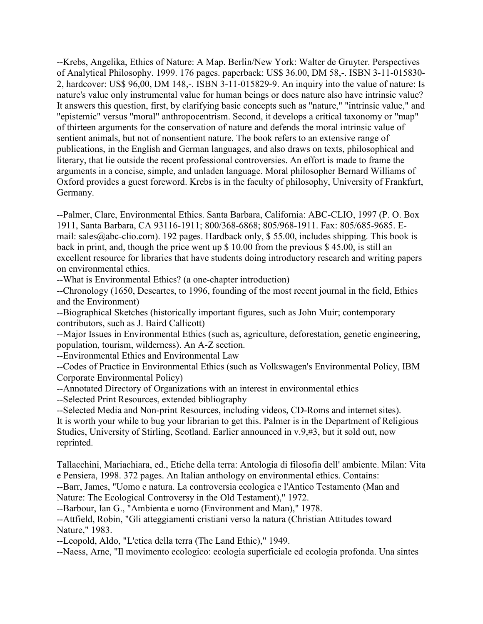--Krebs, Angelika, Ethics of Nature: A Map. Berlin/New York: Walter de Gruyter. Perspectives of Analytical Philosophy. 1999. 176 pages. paperback: US\$ 36.00, DM 58,-. ISBN 3-11-015830- 2, hardcover: US\$ 96,00, DM 148,-. ISBN 3-11-015829-9. An inquiry into the value of nature: Is nature's value only instrumental value for human beings or does nature also have intrinsic value? It answers this question, first, by clarifying basic concepts such as "nature," "intrinsic value," and "epistemic" versus "moral" anthropocentrism. Second, it develops a critical taxonomy or "map" of thirteen arguments for the conservation of nature and defends the moral intrinsic value of sentient animals, but not of nonsentient nature. The book refers to an extensive range of publications, in the English and German languages, and also draws on texts, philosophical and literary, that lie outside the recent professional controversies. An effort is made to frame the arguments in a concise, simple, and unladen language. Moral philosopher Bernard Williams of Oxford provides a guest foreword. Krebs is in the faculty of philosophy, University of Frankfurt, Germany.

--Palmer, Clare, Environmental Ethics. Santa Barbara, California: ABC-CLIO, 1997 (P. O. Box 1911, Santa Barbara, CA 93116-1911; 800/368-6868; 805/968-1911. Fax: 805/685-9685. Email: sales@abc-clio.com). 192 pages. Hardback only, \$ 55.00, includes shipping. This book is back in print, and, though the price went up \$ 10.00 from the previous \$ 45.00, is still an excellent resource for libraries that have students doing introductory research and writing papers on environmental ethics.

--What is Environmental Ethics? (a one-chapter introduction)

--Chronology (1650, Descartes, to 1996, founding of the most recent journal in the field, Ethics and the Environment)

--Biographical Sketches (historically important figures, such as John Muir; contemporary contributors, such as J. Baird Callicott)

--Major Issues in Environmental Ethics (such as, agriculture, deforestation, genetic engineering, population, tourism, wilderness). An A-Z section.

--Environmental Ethics and Environmental Law

--Codes of Practice in Environmental Ethics (such as Volkswagen's Environmental Policy, IBM Corporate Environmental Policy)

--Annotated Directory of Organizations with an interest in environmental ethics

--Selected Print Resources, extended bibliography

--Selected Media and Non-print Resources, including videos, CD-Roms and internet sites).

It is worth your while to bug your librarian to get this. Palmer is in the Department of Religious Studies, University of Stirling, Scotland. Earlier announced in v.9,#3, but it sold out, now reprinted.

Tallacchini, Mariachiara, ed., Etiche della terra: Antologia di filosofia dell' ambiente. Milan: Vita e Pensiera, 1998. 372 pages. An Italian anthology on environmental ethics. Contains:

--Barr, James, "Uomo e natura. La controversia ecologica e l'Antico Testamento (Man and Nature: The Ecological Controversy in the Old Testament)," 1972.

--Barbour, Ian G., "Ambienta e uomo (Environment and Man)," 1978.

--Attfield, Robin, "Gli atteggiamenti cristiani verso la natura (Christian Attitudes toward Nature," 1983.

--Leopold, Aldo, "L'etica della terra (The Land Ethic)," 1949.

--Naess, Arne, "Il movimento ecologico: ecologia superficiale ed ecologia profonda. Una sintes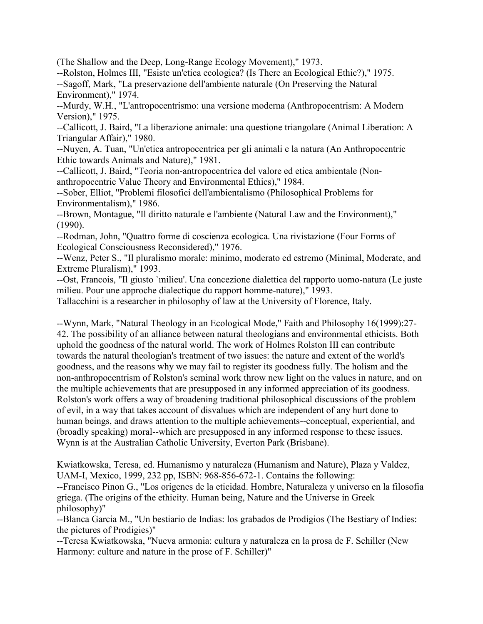(The Shallow and the Deep, Long-Range Ecology Movement)," 1973.

--Rolston, Holmes III, "Esiste un'etica ecologica? (Is There an Ecological Ethic?)," 1975. --Sagoff, Mark, "La preservazione dell'ambiente naturale (On Preserving the Natural

Environment)," 1974.

--Murdy, W.H., "L'antropocentrismo: una versione moderna (Anthropocentrism: A Modern Version)," 1975.

--Callicott, J. Baird, "La liberazione animale: una questione triangolare (Animal Liberation: A Triangular Affair)," 1980.

--Nuyen, A. Tuan, "Un'etica antropocentrica per gli animali e la natura (An Anthropocentric Ethic towards Animals and Nature)," 1981.

--Callicott, J. Baird, "Teoria non-antropocentrica del valore ed etica ambientale (Nonanthropocentric Value Theory and Environmental Ethics)," 1984.

--Sober, Elliot, "Problemi filosofici dell'ambientalismo (Philosophical Problems for Environmentalism)," 1986.

--Brown, Montague, "Il diritto naturale e l'ambiente (Natural Law and the Environment)," (1990).

--Rodman, John, "Quattro forme di coscienza ecologica. Una rivistazione (Four Forms of Ecological Consciousness Reconsidered)," 1976.

--Wenz, Peter S., "Il pluralismo morale: minimo, moderato ed estremo (Minimal, Moderate, and Extreme Pluralism)," 1993.

--Ost, Francois, "Il giusto `milieu'. Una concezione dialettica del rapporto uomo-natura (Le juste milieu. Pour une approche dialectique du rapport homme-nature)," 1993.

Tallacchini is a researcher in philosophy of law at the University of Florence, Italy.

--Wynn, Mark, "Natural Theology in an Ecological Mode," Faith and Philosophy 16(1999):27- 42. The possibility of an alliance between natural theologians and environmental ethicists. Both uphold the goodness of the natural world. The work of Holmes Rolston III can contribute towards the natural theologian's treatment of two issues: the nature and extent of the world's goodness, and the reasons why we may fail to register its goodness fully. The holism and the non-anthropocentrism of Rolston's seminal work throw new light on the values in nature, and on the multiple achievements that are presupposed in any informed appreciation of its goodness. Rolston's work offers a way of broadening traditional philosophical discussions of the problem of evil, in a way that takes account of disvalues which are independent of any hurt done to human beings, and draws attention to the multiple achievements--conceptual, experiential, and (broadly speaking) moral--which are presupposed in any informed response to these issues. Wynn is at the Australian Catholic University, Everton Park (Brisbane).

Kwiatkowska, Teresa, ed. Humanismo y naturaleza (Humanism and Nature), Plaza y Valdez, UAM-I, Mexico, 1999, 232 pp, ISBN: 968-856-672-1. Contains the following: --Francisco Pinon G., "Los origenes de la eticidad. Hombre, Naturaleza y universo en la filosofia griega. (The origins of the ethicity. Human being, Nature and the Universe in Greek

philosophy)"

--Blanca Garcia M., "Un bestiario de Indias: los grabados de Prodigios (The Bestiary of Indies: the pictures of Prodigies)"

--Teresa Kwiatkowska, "Nueva armonia: cultura y naturaleza en la prosa de F. Schiller (New Harmony: culture and nature in the prose of F. Schiller)"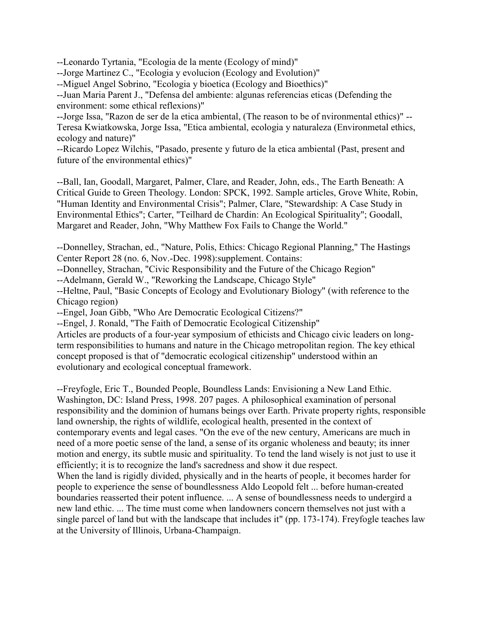--Leonardo Tyrtania, "Ecologia de la mente (Ecology of mind)"

--Jorge Martinez C., "Ecologia y evolucion (Ecology and Evolution)"

--Miguel Angel Sobrino, "Ecologia y bioetica (Ecology and Bioethics)"

--Juan Maria Parent J., "Defensa del ambiente: algunas referencias eticas (Defending the environment: some ethical reflexions)"

--Jorge Issa, "Razon de ser de la etica ambiental, (The reason to be of nvironmental ethics)" -- Teresa Kwiatkowska, Jorge Issa, "Etica ambiental, ecologia y naturaleza (Environmetal ethics, ecology and nature)"

--Ricardo Lopez Wilchis, "Pasado, presente y futuro de la etica ambiental (Past, present and future of the environmental ethics)"

--Ball, Ian, Goodall, Margaret, Palmer, Clare, and Reader, John, eds., The Earth Beneath: A Critical Guide to Green Theology. London: SPCK, 1992. Sample articles, Grove White, Robin, "Human Identity and Environmental Crisis"; Palmer, Clare, "Stewardship: A Case Study in Environmental Ethics"; Carter, "Teilhard de Chardin: An Ecological Spirituality"; Goodall, Margaret and Reader, John, "Why Matthew Fox Fails to Change the World."

--Donnelley, Strachan, ed., "Nature, Polis, Ethics: Chicago Regional Planning," The Hastings Center Report 28 (no. 6, Nov.-Dec. 1998):supplement. Contains:

--Donnelley, Strachan, "Civic Responsibility and the Future of the Chicago Region"

--Adelmann, Gerald W., "Reworking the Landscape, Chicago Style"

--Heltne, Paul, "Basic Concepts of Ecology and Evolutionary Biology" (with reference to the Chicago region)

--Engel, Joan Gibb, "Who Are Democratic Ecological Citizens?"

--Engel, J. Ronald, "The Faith of Democratic Ecological Citizenship"

Articles are products of a four-year symposium of ethicists and Chicago civic leaders on longterm responsibilities to humans and nature in the Chicago metropolitan region. The key ethical concept proposed is that of "democratic ecological citizenship" understood within an evolutionary and ecological conceptual framework.

--Freyfogle, Eric T., Bounded People, Boundless Lands: Envisioning a New Land Ethic. Washington, DC: Island Press, 1998. 207 pages. A philosophical examination of personal responsibility and the dominion of humans beings over Earth. Private property rights, responsible land ownership, the rights of wildlife, ecological health, presented in the context of contemporary events and legal cases. "On the eve of the new century, Americans are much in need of a more poetic sense of the land, a sense of its organic wholeness and beauty; its inner motion and energy, its subtle music and spirituality. To tend the land wisely is not just to use it efficiently; it is to recognize the land's sacredness and show it due respect.

When the land is rigidly divided, physically and in the hearts of people, it becomes harder for people to experience the sense of boundlessness Aldo Leopold felt ... before human-created boundaries reasserted their potent influence. ... A sense of boundlessness needs to undergird a new land ethic. ... The time must come when landowners concern themselves not just with a single parcel of land but with the landscape that includes it" (pp. 173-174). Freyfogle teaches law at the University of Illinois, Urbana-Champaign.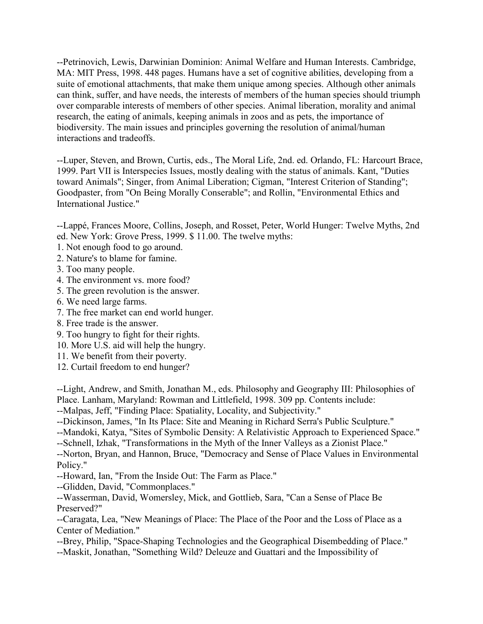--Petrinovich, Lewis, Darwinian Dominion: Animal Welfare and Human Interests. Cambridge, MA: MIT Press, 1998. 448 pages. Humans have a set of cognitive abilities, developing from a suite of emotional attachments, that make them unique among species. Although other animals can think, suffer, and have needs, the interests of members of the human species should triumph over comparable interests of members of other species. Animal liberation, morality and animal research, the eating of animals, keeping animals in zoos and as pets, the importance of biodiversity. The main issues and principles governing the resolution of animal/human interactions and tradeoffs.

--Luper, Steven, and Brown, Curtis, eds., The Moral Life, 2nd. ed. Orlando, FL: Harcourt Brace, 1999. Part VII is Interspecies Issues, mostly dealing with the status of animals. Kant, "Duties toward Animals"; Singer, from Animal Liberation; Cigman, "Interest Criterion of Standing"; Goodpaster, from "On Being Morally Conserable"; and Rollin, "Environmental Ethics and International Justice."

--Lappé, Frances Moore, Collins, Joseph, and Rosset, Peter, World Hunger: Twelve Myths, 2nd ed. New York: Grove Press, 1999. \$ 11.00. The twelve myths:

- 1. Not enough food to go around.
- 2. Nature's to blame for famine.
- 3. Too many people.
- 4. The environment vs. more food?
- 5. The green revolution is the answer.
- 6. We need large farms.
- 7. The free market can end world hunger.
- 8. Free trade is the answer.
- 9. Too hungry to fight for their rights.
- 10. More U.S. aid will help the hungry.
- 11. We benefit from their poverty.
- 12. Curtail freedom to end hunger?

--Light, Andrew, and Smith, Jonathan M., eds. Philosophy and Geography III: Philosophies of Place. Lanham, Maryland: Rowman and Littlefield, 1998. 309 pp. Contents include:

--Malpas, Jeff, "Finding Place: Spatiality, Locality, and Subjectivity."

--Dickinson, James, "In Its Place: Site and Meaning in Richard Serra's Public Sculpture."

--Mandoki, Katya, "Sites of Symbolic Density: A Relativistic Approach to Experienced Space."

--Schnell, Izhak, "Transformations in the Myth of the Inner Valleys as a Zionist Place."

--Norton, Bryan, and Hannon, Bruce, "Democracy and Sense of Place Values in Environmental Policy."

--Howard, Ian, "From the Inside Out: The Farm as Place."

--Glidden, David, "Commonplaces."

--Wasserman, David, Womersley, Mick, and Gottlieb, Sara, "Can a Sense of Place Be Preserved?"

--Caragata, Lea, "New Meanings of Place: The Place of the Poor and the Loss of Place as a Center of Mediation."

--Brey, Philip, "Space-Shaping Technologies and the Geographical Disembedding of Place."

--Maskit, Jonathan, "Something Wild? Deleuze and Guattari and the Impossibility of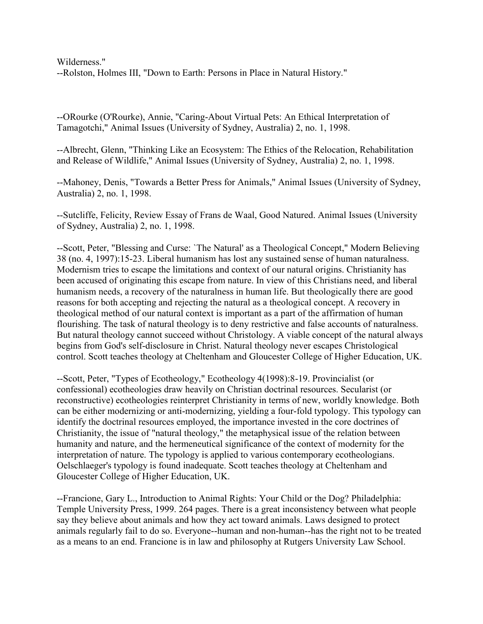Wilderness." --Rolston, Holmes III, "Down to Earth: Persons in Place in Natural History."

--ORourke (O'Rourke), Annie, "Caring-About Virtual Pets: An Ethical Interpretation of Tamagotchi," Animal Issues (University of Sydney, Australia) 2, no. 1, 1998.

--Albrecht, Glenn, "Thinking Like an Ecosystem: The Ethics of the Relocation, Rehabilitation and Release of Wildlife," Animal Issues (University of Sydney, Australia) 2, no. 1, 1998.

--Mahoney, Denis, "Towards a Better Press for Animals," Animal Issues (University of Sydney, Australia) 2, no. 1, 1998.

--Sutcliffe, Felicity, Review Essay of Frans de Waal, Good Natured. Animal Issues (University of Sydney, Australia) 2, no. 1, 1998.

--Scott, Peter, "Blessing and Curse: `The Natural' as a Theological Concept," Modern Believing 38 (no. 4, 1997):15-23. Liberal humanism has lost any sustained sense of human naturalness. Modernism tries to escape the limitations and context of our natural origins. Christianity has been accused of originating this escape from nature. In view of this Christians need, and liberal humanism needs, a recovery of the naturalness in human life. But theologically there are good reasons for both accepting and rejecting the natural as a theological concept. A recovery in theological method of our natural context is important as a part of the affirmation of human flourishing. The task of natural theology is to deny restrictive and false accounts of naturalness. But natural theology cannot succeed without Christology. A viable concept of the natural always begins from God's self-disclosure in Christ. Natural theology never escapes Christological control. Scott teaches theology at Cheltenham and Gloucester College of Higher Education, UK.

--Scott, Peter, "Types of Ecotheology," Ecotheology 4(1998):8-19. Provincialist (or confessional) ecotheologies draw heavily on Christian doctrinal resources. Secularist (or reconstructive) ecotheologies reinterpret Christianity in terms of new, worldly knowledge. Both can be either modernizing or anti-modernizing, yielding a four-fold typology. This typology can identify the doctrinal resources employed, the importance invested in the core doctrines of Christianity, the issue of "natural theology," the metaphysical issue of the relation between humanity and nature, and the hermeneutical significance of the context of modernity for the interpretation of nature. The typology is applied to various contemporary ecotheologians. Oelschlaeger's typology is found inadequate. Scott teaches theology at Cheltenham and Gloucester College of Higher Education, UK.

--Francione, Gary L., Introduction to Animal Rights: Your Child or the Dog? Philadelphia: Temple University Press, 1999. 264 pages. There is a great inconsistency between what people say they believe about animals and how they act toward animals. Laws designed to protect animals regularly fail to do so. Everyone--human and non-human--has the right not to be treated as a means to an end. Francione is in law and philosophy at Rutgers University Law School.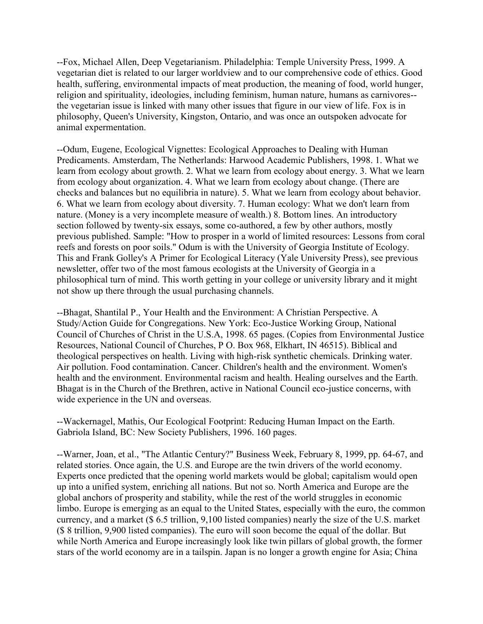--Fox, Michael Allen, Deep Vegetarianism. Philadelphia: Temple University Press, 1999. A vegetarian diet is related to our larger worldview and to our comprehensive code of ethics. Good health, suffering, environmental impacts of meat production, the meaning of food, world hunger, religion and spirituality, ideologies, including feminism, human nature, humans as carnivores- the vegetarian issue is linked with many other issues that figure in our view of life. Fox is in philosophy, Queen's University, Kingston, Ontario, and was once an outspoken advocate for animal expermentation.

--Odum, Eugene, Ecological Vignettes: Ecological Approaches to Dealing with Human Predicaments. Amsterdam, The Netherlands: Harwood Academic Publishers, 1998. 1. What we learn from ecology about growth. 2. What we learn from ecology about energy. 3. What we learn from ecology about organization. 4. What we learn from ecology about change. (There are checks and balances but no equilibria in nature). 5. What we learn from ecology about behavior. 6. What we learn from ecology about diversity. 7. Human ecology: What we don't learn from nature. (Money is a very incomplete measure of wealth.) 8. Bottom lines. An introductory section followed by twenty-six essays, some co-authored, a few by other authors, mostly previous published. Sample: "How to prosper in a world of limited resources: Lessons from coral reefs and forests on poor soils." Odum is with the University of Georgia Institute of Ecology. This and Frank Golley's A Primer for Ecological Literacy (Yale University Press), see previous newsletter, offer two of the most famous ecologists at the University of Georgia in a philosophical turn of mind. This worth getting in your college or university library and it might not show up there through the usual purchasing channels.

--Bhagat, Shantilal P., Your Health and the Environment: A Christian Perspective. A Study/Action Guide for Congregations. New York: Eco-Justice Working Group, National Council of Churches of Christ in the U.S.A, 1998. 65 pages. (Copies from Environmental Justice Resources, National Council of Churches, P O. Box 968, Elkhart, IN 46515). Biblical and theological perspectives on health. Living with high-risk synthetic chemicals. Drinking water. Air pollution. Food contamination. Cancer. Children's health and the environment. Women's health and the environment. Environmental racism and health. Healing ourselves and the Earth. Bhagat is in the Church of the Brethren, active in National Council eco-justice concerns, with wide experience in the UN and overseas.

--Wackernagel, Mathis, Our Ecological Footprint: Reducing Human Impact on the Earth. Gabriola Island, BC: New Society Publishers, 1996. 160 pages.

--Warner, Joan, et al., "The Atlantic Century?" Business Week, February 8, 1999, pp. 64-67, and related stories. Once again, the U.S. and Europe are the twin drivers of the world economy. Experts once predicted that the opening world markets would be global; capitalism would open up into a unified system, enriching all nations. But not so. North America and Europe are the global anchors of prosperity and stability, while the rest of the world struggles in economic limbo. Europe is emerging as an equal to the United States, especially with the euro, the common currency, and a market (\$ 6.5 trillion, 9,100 listed companies) nearly the size of the U.S. market (\$ 8 trillion, 9,900 listed companies). The euro will soon become the equal of the dollar. But while North America and Europe increasingly look like twin pillars of global growth, the former stars of the world economy are in a tailspin. Japan is no longer a growth engine for Asia; China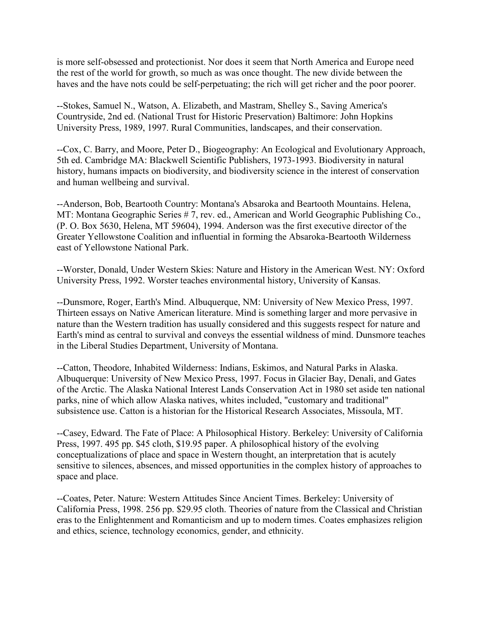is more self-obsessed and protectionist. Nor does it seem that North America and Europe need the rest of the world for growth, so much as was once thought. The new divide between the haves and the have nots could be self-perpetuating; the rich will get richer and the poor poorer.

--Stokes, Samuel N., Watson, A. Elizabeth, and Mastram, Shelley S., Saving America's Countryside, 2nd ed. (National Trust for Historic Preservation) Baltimore: John Hopkins University Press, 1989, 1997. Rural Communities, landscapes, and their conservation.

--Cox, C. Barry, and Moore, Peter D., Biogeography: An Ecological and Evolutionary Approach, 5th ed. Cambridge MA: Blackwell Scientific Publishers, 1973-1993. Biodiversity in natural history, humans impacts on biodiversity, and biodiversity science in the interest of conservation and human wellbeing and survival.

--Anderson, Bob, Beartooth Country: Montana's Absaroka and Beartooth Mountains. Helena, MT: Montana Geographic Series # 7, rev. ed., American and World Geographic Publishing Co., (P. O. Box 5630, Helena, MT 59604), 1994. Anderson was the first executive director of the Greater Yellowstone Coalition and influential in forming the Absaroka-Beartooth Wilderness east of Yellowstone National Park.

--Worster, Donald, Under Western Skies: Nature and History in the American West. NY: Oxford University Press, 1992. Worster teaches environmental history, University of Kansas.

--Dunsmore, Roger, Earth's Mind. Albuquerque, NM: University of New Mexico Press, 1997. Thirteen essays on Native American literature. Mind is something larger and more pervasive in nature than the Western tradition has usually considered and this suggests respect for nature and Earth's mind as central to survival and conveys the essential wildness of mind. Dunsmore teaches in the Liberal Studies Department, University of Montana.

--Catton, Theodore, Inhabited Wilderness: Indians, Eskimos, and Natural Parks in Alaska. Albuquerque: University of New Mexico Press, 1997. Focus in Glacier Bay, Denali, and Gates of the Arctic. The Alaska National Interest Lands Conservation Act in 1980 set aside ten national parks, nine of which allow Alaska natives, whites included, "customary and traditional" subsistence use. Catton is a historian for the Historical Research Associates, Missoula, MT.

--Casey, Edward. The Fate of Place: A Philosophical History. Berkeley: University of California Press, 1997. 495 pp. \$45 cloth, \$19.95 paper. A philosophical history of the evolving conceptualizations of place and space in Western thought, an interpretation that is acutely sensitive to silences, absences, and missed opportunities in the complex history of approaches to space and place.

--Coates, Peter. Nature: Western Attitudes Since Ancient Times. Berkeley: University of California Press, 1998. 256 pp. \$29.95 cloth. Theories of nature from the Classical and Christian eras to the Enlightenment and Romanticism and up to modern times. Coates emphasizes religion and ethics, science, technology economics, gender, and ethnicity.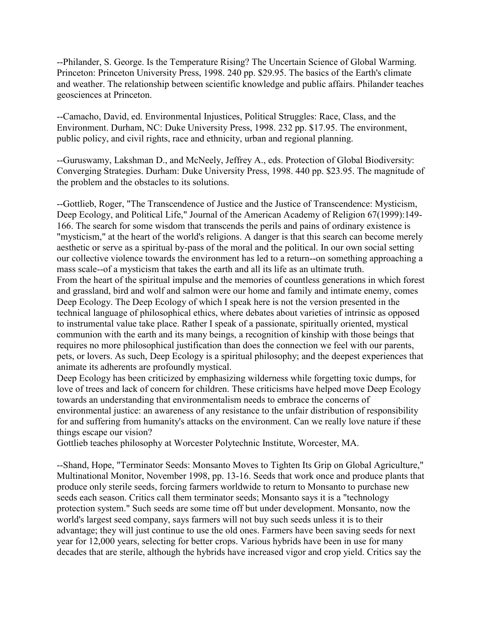--Philander, S. George. Is the Temperature Rising? The Uncertain Science of Global Warming. Princeton: Princeton University Press, 1998. 240 pp. \$29.95. The basics of the Earth's climate and weather. The relationship between scientific knowledge and public affairs. Philander teaches geosciences at Princeton.

--Camacho, David, ed. Environmental Injustices, Political Struggles: Race, Class, and the Environment. Durham, NC: Duke University Press, 1998. 232 pp. \$17.95. The environment, public policy, and civil rights, race and ethnicity, urban and regional planning.

--Guruswamy, Lakshman D., and McNeely, Jeffrey A., eds. Protection of Global Biodiversity: Converging Strategies. Durham: Duke University Press, 1998. 440 pp. \$23.95. The magnitude of the problem and the obstacles to its solutions.

--Gottlieb, Roger, "The Transcendence of Justice and the Justice of Transcendence: Mysticism, Deep Ecology, and Political Life," Journal of the American Academy of Religion 67(1999):149- 166. The search for some wisdom that transcends the perils and pains of ordinary existence is "mysticism," at the heart of the world's religions. A danger is that this search can become merely aesthetic or serve as a spiritual by-pass of the moral and the political. In our own social setting our collective violence towards the environment has led to a return--on something approaching a mass scale--of a mysticism that takes the earth and all its life as an ultimate truth. From the heart of the spiritual impulse and the memories of countless generations in which forest and grassland, bird and wolf and salmon were our home and family and intimate enemy, comes Deep Ecology. The Deep Ecology of which I speak here is not the version presented in the technical language of philosophical ethics, where debates about varieties of intrinsic as opposed to instrumental value take place. Rather I speak of a passionate, spiritually oriented, mystical communion with the earth and its many beings, a recognition of kinship with those beings that requires no more philosophical justification than does the connection we feel with our parents, pets, or lovers. As such, Deep Ecology is a spiritual philosophy; and the deepest experiences that animate its adherents are profoundly mystical.

Deep Ecology has been criticized by emphasizing wilderness while forgetting toxic dumps, for love of trees and lack of concern for children. These criticisms have helped move Deep Ecology towards an understanding that environmentalism needs to embrace the concerns of environmental justice: an awareness of any resistance to the unfair distribution of responsibility for and suffering from humanity's attacks on the environment. Can we really love nature if these things escape our vision?

Gottlieb teaches philosophy at Worcester Polytechnic Institute, Worcester, MA.

--Shand, Hope, "Terminator Seeds: Monsanto Moves to Tighten Its Grip on Global Agriculture," Multinational Monitor, November 1998, pp. 13-16. Seeds that work once and produce plants that produce only sterile seeds, forcing farmers worldwide to return to Monsanto to purchase new seeds each season. Critics call them terminator seeds; Monsanto says it is a "technology protection system." Such seeds are some time off but under development. Monsanto, now the world's largest seed company, says farmers will not buy such seeds unless it is to their advantage; they will just continue to use the old ones. Farmers have been saving seeds for next year for 12,000 years, selecting for better crops. Various hybrids have been in use for many decades that are sterile, although the hybrids have increased vigor and crop yield. Critics say the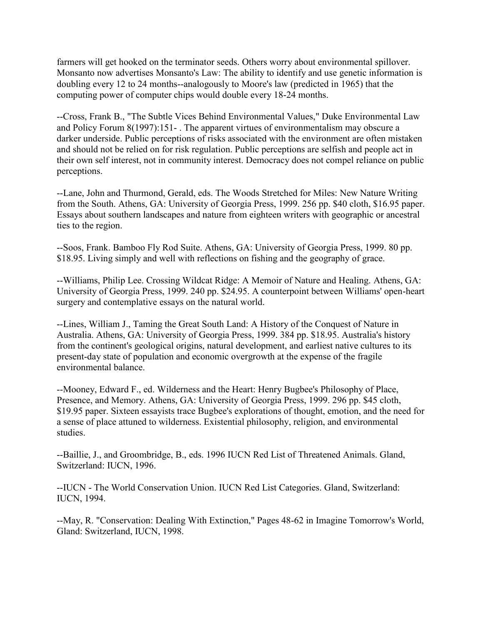farmers will get hooked on the terminator seeds. Others worry about environmental spillover. Monsanto now advertises Monsanto's Law: The ability to identify and use genetic information is doubling every 12 to 24 months--analogously to Moore's law (predicted in 1965) that the computing power of computer chips would double every 18-24 months.

--Cross, Frank B., "The Subtle Vices Behind Environmental Values," Duke Environmental Law and Policy Forum 8(1997):151- . The apparent virtues of environmentalism may obscure a darker underside. Public perceptions of risks associated with the environment are often mistaken and should not be relied on for risk regulation. Public perceptions are selfish and people act in their own self interest, not in community interest. Democracy does not compel reliance on public perceptions.

--Lane, John and Thurmond, Gerald, eds. The Woods Stretched for Miles: New Nature Writing from the South. Athens, GA: University of Georgia Press, 1999. 256 pp. \$40 cloth, \$16.95 paper. Essays about southern landscapes and nature from eighteen writers with geographic or ancestral ties to the region.

--Soos, Frank. Bamboo Fly Rod Suite. Athens, GA: University of Georgia Press, 1999. 80 pp. \$18.95. Living simply and well with reflections on fishing and the geography of grace.

--Williams, Philip Lee. Crossing Wildcat Ridge: A Memoir of Nature and Healing. Athens, GA: University of Georgia Press, 1999. 240 pp. \$24.95. A counterpoint between Williams' open-heart surgery and contemplative essays on the natural world.

--Lines, William J., Taming the Great South Land: A History of the Conquest of Nature in Australia. Athens, GA: University of Georgia Press, 1999. 384 pp. \$18.95. Australia's history from the continent's geological origins, natural development, and earliest native cultures to its present-day state of population and economic overgrowth at the expense of the fragile environmental balance.

--Mooney, Edward F., ed. Wilderness and the Heart: Henry Bugbee's Philosophy of Place, Presence, and Memory. Athens, GA: University of Georgia Press, 1999. 296 pp. \$45 cloth, \$19.95 paper. Sixteen essayists trace Bugbee's explorations of thought, emotion, and the need for a sense of place attuned to wilderness. Existential philosophy, religion, and environmental studies.

--Baillie, J., and Groombridge, B., eds. 1996 IUCN Red List of Threatened Animals. Gland, Switzerland: IUCN, 1996.

--IUCN - The World Conservation Union. IUCN Red List Categories. Gland, Switzerland: IUCN, 1994.

--May, R. "Conservation: Dealing With Extinction," Pages 48-62 in Imagine Tomorrow's World, Gland: Switzerland, IUCN, 1998.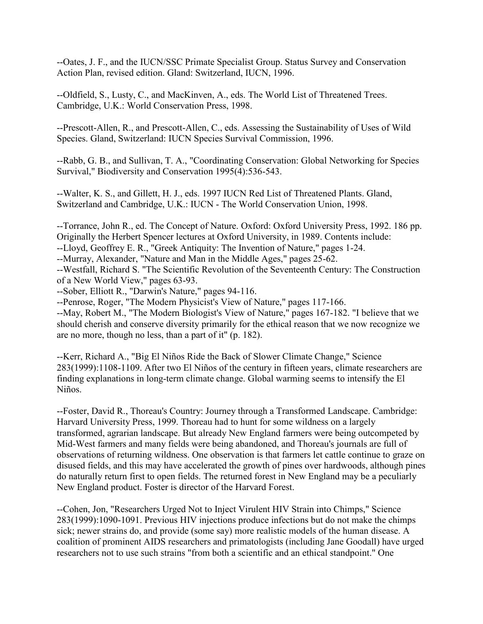--Oates, J. F., and the IUCN/SSC Primate Specialist Group. Status Survey and Conservation Action Plan, revised edition. Gland: Switzerland, IUCN, 1996.

--Oldfield, S., Lusty, C., and MacKinven, A., eds. The World List of Threatened Trees. Cambridge, U.K.: World Conservation Press, 1998.

--Prescott-Allen, R., and Prescott-Allen, C., eds. Assessing the Sustainability of Uses of Wild Species. Gland, Switzerland: IUCN Species Survival Commission, 1996.

--Rabb, G. B., and Sullivan, T. A., "Coordinating Conservation: Global Networking for Species Survival," Biodiversity and Conservation 1995(4):536-543.

--Walter, K. S., and Gillett, H. J., eds. 1997 IUCN Red List of Threatened Plants. Gland, Switzerland and Cambridge, U.K.: IUCN - The World Conservation Union, 1998.

--Torrance, John R., ed. The Concept of Nature. Oxford: Oxford University Press, 1992. 186 pp. Originally the Herbert Spencer lectures at Oxford University, in 1989. Contents include:

--Lloyd, Geoffrey E. R., "Greek Antiquity: The Invention of Nature," pages 1-24.

--Murray, Alexander, "Nature and Man in the Middle Ages," pages 25-62.

--Westfall, Richard S. "The Scientific Revolution of the Seventeenth Century: The Construction of a New World View," pages 63-93.

--Sober, Elliott R., "Darwin's Nature," pages 94-116.

--Penrose, Roger, "The Modern Physicist's View of Nature," pages 117-166.

--May, Robert M., "The Modern Biologist's View of Nature," pages 167-182. "I believe that we should cherish and conserve diversity primarily for the ethical reason that we now recognize we are no more, though no less, than a part of it" (p. 182).

--Kerr, Richard A., "Big El Niños Ride the Back of Slower Climate Change," Science 283(1999):1108-1109. After two El Niños of the century in fifteen years, climate researchers are finding explanations in long-term climate change. Global warming seems to intensify the El Niños.

--Foster, David R., Thoreau's Country: Journey through a Transformed Landscape. Cambridge: Harvard University Press, 1999. Thoreau had to hunt for some wildness on a largely transformed, agrarian landscape. But already New England farmers were being outcompeted by Mid-West farmers and many fields were being abandoned, and Thoreau's journals are full of observations of returning wildness. One observation is that farmers let cattle continue to graze on disused fields, and this may have accelerated the growth of pines over hardwoods, although pines do naturally return first to open fields. The returned forest in New England may be a peculiarly New England product. Foster is director of the Harvard Forest.

--Cohen, Jon, "Researchers Urged Not to Inject Virulent HIV Strain into Chimps," Science 283(1999):1090-1091. Previous HIV injections produce infections but do not make the chimps sick; newer strains do, and provide (some say) more realistic models of the human disease. A coalition of prominent AIDS researchers and primatologists (including Jane Goodall) have urged researchers not to use such strains "from both a scientific and an ethical standpoint." One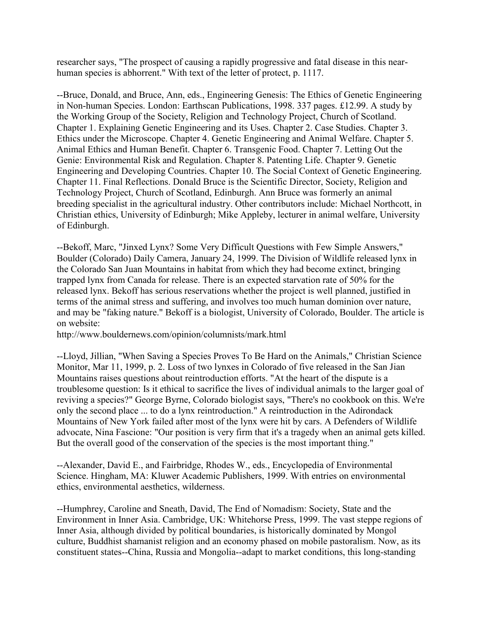researcher says, "The prospect of causing a rapidly progressive and fatal disease in this nearhuman species is abhorrent." With text of the letter of protect, p. 1117.

--Bruce, Donald, and Bruce, Ann, eds., Engineering Genesis: The Ethics of Genetic Engineering in Non-human Species. London: Earthscan Publications, 1998. 337 pages. £12.99. A study by the Working Group of the Society, Religion and Technology Project, Church of Scotland. Chapter 1. Explaining Genetic Engineering and its Uses. Chapter 2. Case Studies. Chapter 3. Ethics under the Microscope. Chapter 4. Genetic Engineering and Animal Welfare. Chapter 5. Animal Ethics and Human Benefit. Chapter 6. Transgenic Food. Chapter 7. Letting Out the Genie: Environmental Risk and Regulation. Chapter 8. Patenting Life. Chapter 9. Genetic Engineering and Developing Countries. Chapter 10. The Social Context of Genetic Engineering. Chapter 11. Final Reflections. Donald Bruce is the Scientific Director, Society, Religion and Technology Project, Church of Scotland, Edinburgh. Ann Bruce was formerly an animal breeding specialist in the agricultural industry. Other contributors include: Michael Northcott, in Christian ethics, University of Edinburgh; Mike Appleby, lecturer in animal welfare, University of Edinburgh.

--Bekoff, Marc, "Jinxed Lynx? Some Very Difficult Questions with Few Simple Answers," Boulder (Colorado) Daily Camera, January 24, 1999. The Division of Wildlife released lynx in the Colorado San Juan Mountains in habitat from which they had become extinct, bringing trapped lynx from Canada for release. There is an expected starvation rate of 50% for the released lynx. Bekoff has serious reservations whether the project is well planned, justified in terms of the animal stress and suffering, and involves too much human dominion over nature, and may be "faking nature." Bekoff is a biologist, University of Colorado, Boulder. The article is on website:

http://www.bouldernews.com/opinion/columnists/mark.html

--Lloyd, Jillian, "When Saving a Species Proves To Be Hard on the Animals," Christian Science Monitor, Mar 11, 1999, p. 2. Loss of two lynxes in Colorado of five released in the San Jian Mountains raises questions about reintroduction efforts. "At the heart of the dispute is a troublesome question: Is it ethical to sacrifice the lives of individual animals to the larger goal of reviving a species?" George Byrne, Colorado biologist says, "There's no cookbook on this. We're only the second place ... to do a lynx reintroduction." A reintroduction in the Adirondack Mountains of New York failed after most of the lynx were hit by cars. A Defenders of Wildlife advocate, Nina Fascione: "Our position is very firm that it's a tragedy when an animal gets killed. But the overall good of the conservation of the species is the most important thing."

--Alexander, David E., and Fairbridge, Rhodes W., eds., Encyclopedia of Environmental Science. Hingham, MA: Kluwer Academic Publishers, 1999. With entries on environmental ethics, environmental aesthetics, wilderness.

--Humphrey, Caroline and Sneath, David, The End of Nomadism: Society, State and the Environment in Inner Asia. Cambridge, UK: Whitehorse Press, 1999. The vast steppe regions of Inner Asia, although divided by political boundaries, is historically dominated by Mongol culture, Buddhist shamanist religion and an economy phased on mobile pastoralism. Now, as its constituent states--China, Russia and Mongolia--adapt to market conditions, this long-standing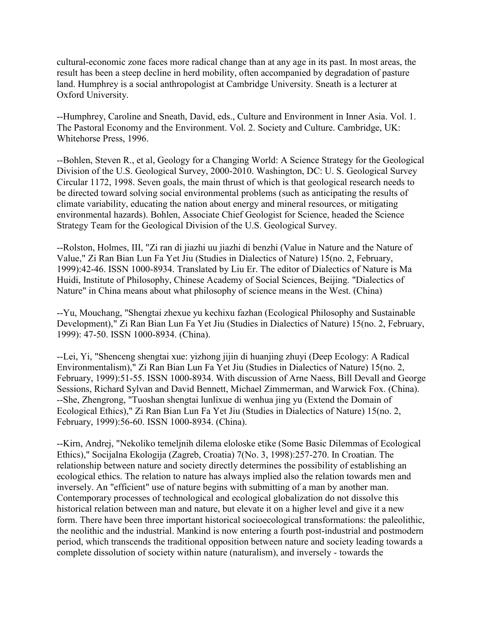cultural-economic zone faces more radical change than at any age in its past. In most areas, the result has been a steep decline in herd mobility, often accompanied by degradation of pasture land. Humphrey is a social anthropologist at Cambridge University. Sneath is a lecturer at Oxford University.

--Humphrey, Caroline and Sneath, David, eds., Culture and Environment in Inner Asia. Vol. 1. The Pastoral Economy and the Environment. Vol. 2. Society and Culture. Cambridge, UK: Whitehorse Press, 1996.

--Bohlen, Steven R., et al, Geology for a Changing World: A Science Strategy for the Geological Division of the U.S. Geological Survey, 2000-2010. Washington, DC: U. S. Geological Survey Circular 1172, 1998. Seven goals, the main thrust of which is that geological research needs to be directed toward solving social environmental problems (such as anticipating the results of climate variability, educating the nation about energy and mineral resources, or mitigating environmental hazards). Bohlen, Associate Chief Geologist for Science, headed the Science Strategy Team for the Geological Division of the U.S. Geological Survey.

--Rolston, Holmes, III, "Zi ran di jiazhi uu jiazhi di benzhi (Value in Nature and the Nature of Value," Zi Ran Bian Lun Fa Yet Jiu (Studies in Dialectics of Nature) 15(no. 2, February, 1999):42-46. ISSN 1000-8934. Translated by Liu Er. The editor of Dialectics of Nature is Ma Huidi, Institute of Philosophy, Chinese Academy of Social Sciences, Beijing. "Dialectics of Nature" in China means about what philosophy of science means in the West. (China)

--Yu, Mouchang, "Shengtai zhexue yu kechixu fazhan (Ecological Philosophy and Sustainable Development)," Zi Ran Bian Lun Fa Yet Jiu (Studies in Dialectics of Nature) 15(no. 2, February, 1999): 47-50. ISSN 1000-8934. (China).

--Lei, Yi, "Shenceng shengtai xue: yizhong jijin di huanjing zhuyi (Deep Ecology: A Radical Environmentalism)," Zi Ran Bian Lun Fa Yet Jiu (Studies in Dialectics of Nature) 15(no. 2, February, 1999):51-55. ISSN 1000-8934. With discussion of Arne Naess, Bill Devall and George Sessions, Richard Sylvan and David Bennett, Michael Zimmerman, and Warwick Fox. (China). --She, Zhengrong, "Tuoshan shengtai lunlixue di wenhua jing yu (Extend the Domain of Ecological Ethics)," Zi Ran Bian Lun Fa Yet Jiu (Studies in Dialectics of Nature) 15(no. 2, February, 1999):56-60. ISSN 1000-8934. (China).

--Kirn, Andrej, "Nekoliko temeljnih dilema eloloske etike (Some Basic Dilemmas of Ecological Ethics)," Socijalna Ekologija (Zagreb, Croatia) 7(No. 3, 1998):257-270. In Croatian. The relationship between nature and society directly determines the possibility of establishing an ecological ethics. The relation to nature has always implied also the relation towards men and inversely. An "efficient" use of nature begins with submitting of a man by another man. Contemporary processes of technological and ecological globalization do not dissolve this historical relation between man and nature, but elevate it on a higher level and give it a new form. There have been three important historical socioecological transformations: the paleolithic, the neolithic and the industrial. Mankind is now entering a fourth post-industrial and postmodern period, which transcends the traditional opposition between nature and society leading towards a complete dissolution of society within nature (naturalism), and inversely - towards the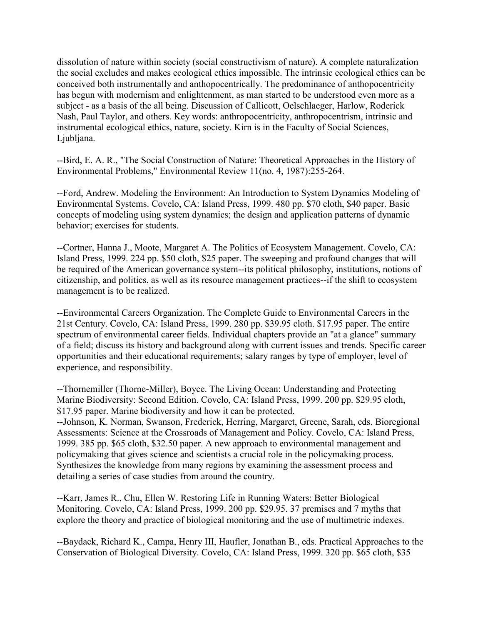dissolution of nature within society (social constructivism of nature). A complete naturalization the social excludes and makes ecological ethics impossible. The intrinsic ecological ethics can be conceived both instrumentally and anthopocentrically. The predominance of anthopocentricity has begun with modernism and enlightenment, as man started to be understood even more as a subject - as a basis of the all being. Discussion of Callicott, Oelschlaeger, Harlow, Roderick Nash, Paul Taylor, and others. Key words: anthropocentricity, anthropocentrism, intrinsic and instrumental ecological ethics, nature, society. Kirn is in the Faculty of Social Sciences, Ljubljana.

--Bird, E. A. R., "The Social Construction of Nature: Theoretical Approaches in the History of Environmental Problems," Environmental Review 11(no. 4, 1987):255-264.

--Ford, Andrew. Modeling the Environment: An Introduction to System Dynamics Modeling of Environmental Systems. Covelo, CA: Island Press, 1999. 480 pp. \$70 cloth, \$40 paper. Basic concepts of modeling using system dynamics; the design and application patterns of dynamic behavior; exercises for students.

--Cortner, Hanna J., Moote, Margaret A. The Politics of Ecosystem Management. Covelo, CA: Island Press, 1999. 224 pp. \$50 cloth, \$25 paper. The sweeping and profound changes that will be required of the American governance system--its political philosophy, institutions, notions of citizenship, and politics, as well as its resource management practices--if the shift to ecosystem management is to be realized.

--Environmental Careers Organization. The Complete Guide to Environmental Careers in the 21st Century. Covelo, CA: Island Press, 1999. 280 pp. \$39.95 cloth. \$17.95 paper. The entire spectrum of environmental career fields. Individual chapters provide an "at a glance" summary of a field; discuss its history and background along with current issues and trends. Specific career opportunities and their educational requirements; salary ranges by type of employer, level of experience, and responsibility.

--Thornemiller (Thorne-Miller), Boyce. The Living Ocean: Understanding and Protecting Marine Biodiversity: Second Edition. Covelo, CA: Island Press, 1999. 200 pp. \$29.95 cloth, \$17.95 paper. Marine biodiversity and how it can be protected.

--Johnson, K. Norman, Swanson, Frederick, Herring, Margaret, Greene, Sarah, eds. Bioregional Assessments: Science at the Crossroads of Management and Policy. Covelo, CA: Island Press, 1999. 385 pp. \$65 cloth, \$32.50 paper. A new approach to environmental management and policymaking that gives science and scientists a crucial role in the policymaking process. Synthesizes the knowledge from many regions by examining the assessment process and detailing a series of case studies from around the country.

--Karr, James R., Chu, Ellen W. Restoring Life in Running Waters: Better Biological Monitoring. Covelo, CA: Island Press, 1999. 200 pp. \$29.95. 37 premises and 7 myths that explore the theory and practice of biological monitoring and the use of multimetric indexes.

--Baydack, Richard K., Campa, Henry III, Haufler, Jonathan B., eds. Practical Approaches to the Conservation of Biological Diversity. Covelo, CA: Island Press, 1999. 320 pp. \$65 cloth, \$35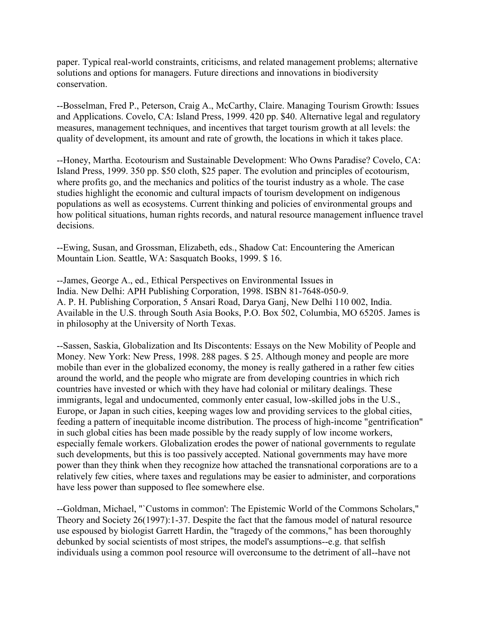paper. Typical real-world constraints, criticisms, and related management problems; alternative solutions and options for managers. Future directions and innovations in biodiversity conservation.

--Bosselman, Fred P., Peterson, Craig A., McCarthy, Claire. Managing Tourism Growth: Issues and Applications. Covelo, CA: Island Press, 1999. 420 pp. \$40. Alternative legal and regulatory measures, management techniques, and incentives that target tourism growth at all levels: the quality of development, its amount and rate of growth, the locations in which it takes place.

--Honey, Martha. Ecotourism and Sustainable Development: Who Owns Paradise? Covelo, CA: Island Press, 1999. 350 pp. \$50 cloth, \$25 paper. The evolution and principles of ecotourism, where profits go, and the mechanics and politics of the tourist industry as a whole. The case studies highlight the economic and cultural impacts of tourism development on indigenous populations as well as ecosystems. Current thinking and policies of environmental groups and how political situations, human rights records, and natural resource management influence travel decisions.

--Ewing, Susan, and Grossman, Elizabeth, eds., Shadow Cat: Encountering the American Mountain Lion. Seattle, WA: Sasquatch Books, 1999. \$ 16.

--James, George A., ed., Ethical Perspectives on Environmental Issues in India. New Delhi: APH Publishing Corporation, 1998. ISBN 81-7648-050-9. A. P. H. Publishing Corporation, 5 Ansari Road, Darya Ganj, New Delhi 110 002, India. Available in the U.S. through South Asia Books, P.O. Box 502, Columbia, MO 65205. James is in philosophy at the University of North Texas.

--Sassen, Saskia, Globalization and Its Discontents: Essays on the New Mobility of People and Money. New York: New Press, 1998. 288 pages. \$ 25. Although money and people are more mobile than ever in the globalized economy, the money is really gathered in a rather few cities around the world, and the people who migrate are from developing countries in which rich countries have invested or which with they have had colonial or military dealings. These immigrants, legal and undocumented, commonly enter casual, low-skilled jobs in the U.S., Europe, or Japan in such cities, keeping wages low and providing services to the global cities, feeding a pattern of inequitable income distribution. The process of high-income "gentrification" in such global cities has been made possible by the ready supply of low income workers, especially female workers. Globalization erodes the power of national governments to regulate such developments, but this is too passively accepted. National governments may have more power than they think when they recognize how attached the transnational corporations are to a relatively few cities, where taxes and regulations may be easier to administer, and corporations have less power than supposed to flee somewhere else.

--Goldman, Michael, "`Customs in common': The Epistemic World of the Commons Scholars," Theory and Society 26(1997):1-37. Despite the fact that the famous model of natural resource use espoused by biologist Garrett Hardin, the "tragedy of the commons," has been thoroughly debunked by social scientists of most stripes, the model's assumptions--e.g. that selfish individuals using a common pool resource will overconsume to the detriment of all--have not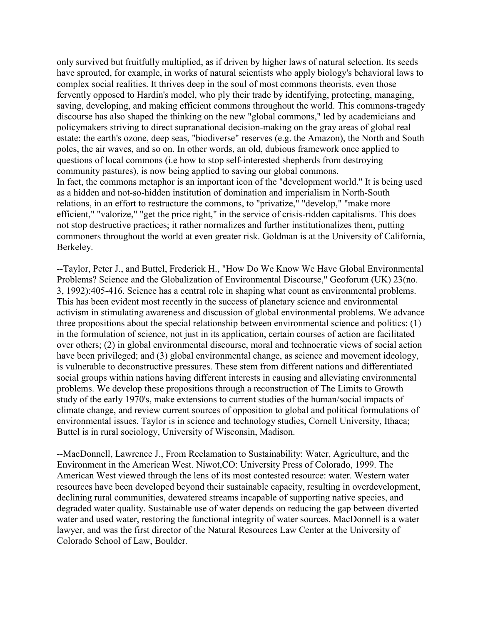only survived but fruitfully multiplied, as if driven by higher laws of natural selection. Its seeds have sprouted, for example, in works of natural scientists who apply biology's behavioral laws to complex social realities. It thrives deep in the soul of most commons theorists, even those fervently opposed to Hardin's model, who ply their trade by identifying, protecting, managing, saving, developing, and making efficient commons throughout the world. This commons-tragedy discourse has also shaped the thinking on the new "global commons," led by academicians and policymakers striving to direct supranational decision-making on the gray areas of global real estate: the earth's ozone, deep seas, "biodiverse" reserves (e.g. the Amazon), the North and South poles, the air waves, and so on. In other words, an old, dubious framework once applied to questions of local commons (i.e how to stop self-interested shepherds from destroying community pastures), is now being applied to saving our global commons. In fact, the commons metaphor is an important icon of the "development world." It is being used as a hidden and not-so-hidden institution of domination and imperialism in North-South relations, in an effort to restructure the commons, to "privatize," "develop," "make more efficient," "valorize," "get the price right," in the service of crisis-ridden capitalisms. This does not stop destructive practices; it rather normalizes and further institutionalizes them, putting commoners throughout the world at even greater risk. Goldman is at the University of California, Berkeley.

--Taylor, Peter J., and Buttel, Frederick H., "How Do We Know We Have Global Environmental Problems? Science and the Globalization of Environmental Discourse," Geoforum (UK) 23(no. 3, 1992):405-416. Science has a central role in shaping what count as environmental problems. This has been evident most recently in the success of planetary science and environmental activism in stimulating awareness and discussion of global environmental problems. We advance three propositions about the special relationship between environmental science and politics: (1) in the formulation of science, not just in its application, certain courses of action are facilitated over others; (2) in global environmental discourse, moral and technocratic views of social action have been privileged; and (3) global environmental change, as science and movement ideology, is vulnerable to deconstructive pressures. These stem from different nations and differentiated social groups within nations having different interests in causing and alleviating environmental problems. We develop these propositions through a reconstruction of The Limits to Growth study of the early 1970's, make extensions to current studies of the human/social impacts of climate change, and review current sources of opposition to global and political formulations of environmental issues. Taylor is in science and technology studies, Cornell University, Ithaca; Buttel is in rural sociology, University of Wisconsin, Madison.

--MacDonnell, Lawrence J., From Reclamation to Sustainability: Water, Agriculture, and the Environment in the American West. Niwot,CO: University Press of Colorado, 1999. The American West viewed through the lens of its most contested resource: water. Western water resources have been developed beyond their sustainable capacity, resulting in overdevelopment, declining rural communities, dewatered streams incapable of supporting native species, and degraded water quality. Sustainable use of water depends on reducing the gap between diverted water and used water, restoring the functional integrity of water sources. MacDonnell is a water lawyer, and was the first director of the Natural Resources Law Center at the University of Colorado School of Law, Boulder.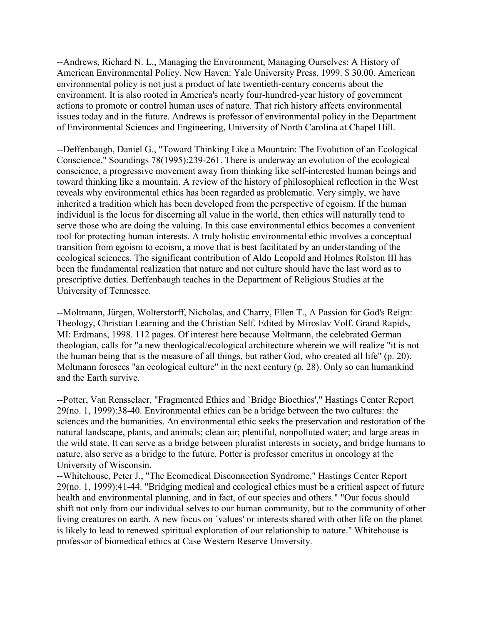--Andrews, Richard N. L., Managing the Environment, Managing Ourselves: A History of American Environmental Policy. New Haven: Yale University Press, 1999. \$ 30.00. American environmental policy is not just a product of late twentieth-century concerns about the environment. It is also rooted in America's nearly four-hundred-year history of government actions to promote or control human uses of nature. That rich history affects environmental issues today and in the future. Andrews is professor of environmental policy in the Department of Environmental Sciences and Engineering, University of North Carolina at Chapel Hill.

--Deffenbaugh, Daniel G., "Toward Thinking Like a Mountain: The Evolution of an Ecological Conscience," Soundings 78(1995):239-261. There is underway an evolution of the ecological conscience, a progressive movement away from thinking like self-interested human beings and toward thinking like a mountain. A review of the history of philosophical reflection in the West reveals why environmental ethics has been regarded as problematic. Very simply, we have inherited a tradition which has been developed from the perspective of egoism. If the human individual is the locus for discerning all value in the world, then ethics will naturally tend to serve those who are doing the valuing. In this case environmental ethics becomes a convenient tool for protecting human interests. A truly holistic environmental ethic involves a conceptual transition from egoism to ecoism, a move that is best facilitated by an understanding of the ecological sciences. The significant contribution of Aldo Leopold and Holmes Rolston III has been the fundamental realization that nature and not culture should have the last word as to prescriptive duties. Deffenbaugh teaches in the Department of Religious Studies at the University of Tennessee.

--Moltmann, Jürgen, Wolterstorff, Nicholas, and Charry, Ellen T., A Passion for God's Reign: Theology, Christian Learning and the Christian Self. Edited by Miroslav Volf. Grand Rapids, MI: Erdmans, 1998. 112 pages. Of interest here because Moltmann, the celebrated German theologian, calls for "a new theological/ecological architecture wherein we will realize "it is not the human being that is the measure of all things, but rather God, who created all life" (p. 20). Moltmann foresees "an ecological culture" in the next century (p. 28). Only so can humankind and the Earth survive.

--Potter, Van Rensselaer, "Fragmented Ethics and `Bridge Bioethics'," Hastings Center Report 29(no. 1, 1999):38-40. Environmental ethics can be a bridge between the two cultures: the sciences and the humanities. An environmental ethic seeks the preservation and restoration of the natural landscape, plants, and animals; clean air; plentiful, nonpolluted water; and large areas in the wild state. It can serve as a bridge between pluralist interests in society, and bridge humans to nature, also serve as a bridge to the future. Potter is professor emeritus in oncology at the University of Wisconsin.

--Whitehouse, Peter J., "The Ecomedical Disconnection Syndrome," Hastings Center Report 29(no. 1, 1999):41-44. "Bridging medical and ecological ethics must be a critical aspect of future health and environmental planning, and in fact, of our species and others." "Our focus should shift not only from our individual selves to our human community, but to the community of other living creatures on earth. A new focus on `values' or interests shared with other life on the planet is likely to lead to renewed spiritual exploration of our relationship to nature." Whitehouse is professor of biomedical ethics at Case Western Reserve University.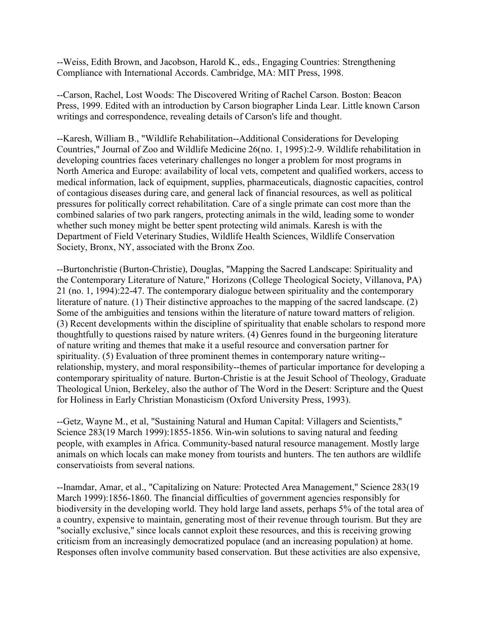--Weiss, Edith Brown, and Jacobson, Harold K., eds., Engaging Countries: Strengthening Compliance with International Accords. Cambridge, MA: MIT Press, 1998.

--Carson, Rachel, Lost Woods: The Discovered Writing of Rachel Carson. Boston: Beacon Press, 1999. Edited with an introduction by Carson biographer Linda Lear. Little known Carson writings and correspondence, revealing details of Carson's life and thought.

--Karesh, William B., "Wildlife Rehabilitation--Additional Considerations for Developing Countries," Journal of Zoo and Wildlife Medicine 26(no. 1, 1995):2-9. Wildlife rehabilitation in developing countries faces veterinary challenges no longer a problem for most programs in North America and Europe: availability of local vets, competent and qualified workers, access to medical information, lack of equipment, supplies, pharmaceuticals, diagnostic capacities, control of contagious diseases during care, and general lack of financial resources, as well as political pressures for politically correct rehabilitation. Care of a single primate can cost more than the combined salaries of two park rangers, protecting animals in the wild, leading some to wonder whether such money might be better spent protecting wild animals. Karesh is with the Department of Field Veterinary Studies, Wildlife Health Sciences, Wildlife Conservation Society, Bronx, NY, associated with the Bronx Zoo.

--Burtonchristie (Burton-Christie), Douglas, "Mapping the Sacred Landscape: Spirituality and the Contemporary Literature of Nature," Horizons (College Theological Society, Villanova, PA) 21 (no. 1, 1994):22-47. The contemporary dialogue between spirituality and the contemporary literature of nature. (1) Their distinctive approaches to the mapping of the sacred landscape. (2) Some of the ambiguities and tensions within the literature of nature toward matters of religion. (3) Recent developments within the discipline of spirituality that enable scholars to respond more thoughtfully to questions raised by nature writers. (4) Genres found in the burgeoning literature of nature writing and themes that make it a useful resource and conversation partner for spirituality. (5) Evaluation of three prominent themes in contemporary nature writing- relationship, mystery, and moral responsibility--themes of particular importance for developing a contemporary spirituality of nature. Burton-Christie is at the Jesuit School of Theology, Graduate Theological Union, Berkeley, also the author of The Word in the Desert: Scripture and the Quest for Holiness in Early Christian Monasticism (Oxford University Press, 1993).

--Getz, Wayne M., et al, "Sustaining Natural and Human Capital: Villagers and Scientists," Science 283(19 March 1999):1855-1856. Win-win solutions to saving natural and feeding people, with examples in Africa. Community-based natural resource management. Mostly large animals on which locals can make money from tourists and hunters. The ten authors are wildlife conservatioists from several nations.

--Inamdar, Amar, et al., "Capitalizing on Nature: Protected Area Management," Science 283(19 March 1999):1856-1860. The financial difficulties of government agencies responsibly for biodiversity in the developing world. They hold large land assets, perhaps 5% of the total area of a country, expensive to maintain, generating most of their revenue through tourism. But they are "socially exclusive," since locals cannot exploit these resources, and this is receiving growing criticism from an increasingly democratized populace (and an increasing population) at home. Responses often involve community based conservation. But these activities are also expensive,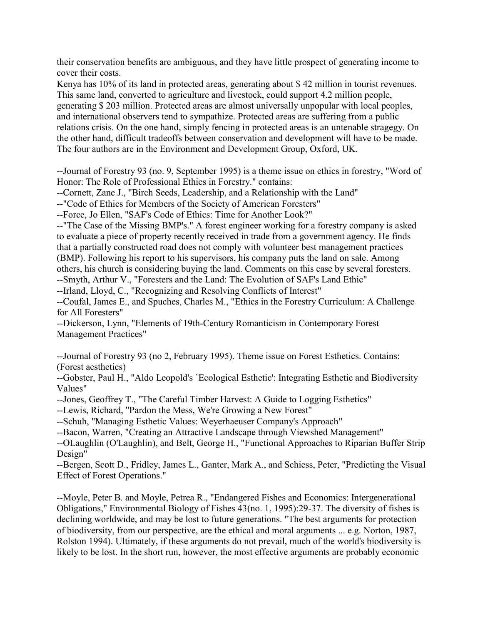their conservation benefits are ambiguous, and they have little prospect of generating income to cover their costs.

Kenya has 10% of its land in protected areas, generating about \$ 42 million in tourist revenues. This same land, converted to agriculture and livestock, could support 4.2 million people, generating \$ 203 million. Protected areas are almost universally unpopular with local peoples, and international observers tend to sympathize. Protected areas are suffering from a public relations crisis. On the one hand, simply fencing in protected areas is an untenable stragegy. On the other hand, difficult tradeoffs between conservation and development will have to be made. The four authors are in the Environment and Development Group, Oxford, UK.

--Journal of Forestry 93 (no. 9, September 1995) is a theme issue on ethics in forestry, "Word of Honor: The Role of Professional Ethics in Forestry." contains:

--Cornett, Zane J., "Birch Seeds, Leadership, and a Relationship with the Land"

--"Code of Ethics for Members of the Society of American Foresters"

--Force, Jo Ellen, "SAF's Code of Ethics: Time for Another Look?"

--"The Case of the Missing BMP's." A forest engineer working for a forestry company is asked to evaluate a piece of property recently received in trade from a government agency. He finds that a partially constructed road does not comply with volunteer best management practices (BMP). Following his report to his supervisors, his company puts the land on sale. Among others, his church is considering buying the land. Comments on this case by several foresters.

--Smyth, Arthur V., "Foresters and the Land: The Evolution of SAF's Land Ethic"

--Irland, Lloyd, C., "Recognizing and Resolving Conflicts of Interest"

--Coufal, James E., and Spuches, Charles M., "Ethics in the Forestry Curriculum: A Challenge for All Foresters"

--Dickerson, Lynn, "Elements of 19th-Century Romanticism in Contemporary Forest Management Practices"

--Journal of Forestry 93 (no 2, February 1995). Theme issue on Forest Esthetics. Contains: (Forest aesthetics)

--Gobster, Paul H., "Aldo Leopold's `Ecological Esthetic': Integrating Esthetic and Biodiversity Values"

--Jones, Geoffrey T., "The Careful Timber Harvest: A Guide to Logging Esthetics"

--Lewis, Richard, "Pardon the Mess, We're Growing a New Forest"

--Schuh, "Managing Esthetic Values: Weyerhaeuser Company's Approach"

--Bacon, Warren, "Creating an Attractive Landscape through Viewshed Management"

--OLaughlin (O'Laughlin), and Belt, George H., "Functional Approaches to Riparian Buffer Strip Design"

--Bergen, Scott D., Fridley, James L., Ganter, Mark A., and Schiess, Peter, "Predicting the Visual Effect of Forest Operations."

--Moyle, Peter B. and Moyle, Petrea R., "Endangered Fishes and Economics: Intergenerational Obligations," Environmental Biology of Fishes 43(no. 1, 1995):29-37. The diversity of fishes is declining worldwide, and may be lost to future generations. "The best arguments for protection of biodiversity, from our perspective, are the ethical and moral arguments ... e.g. Norton, 1987, Rolston 1994). Ultimately, if these arguments do not prevail, much of the world's biodiversity is likely to be lost. In the short run, however, the most effective arguments are probably economic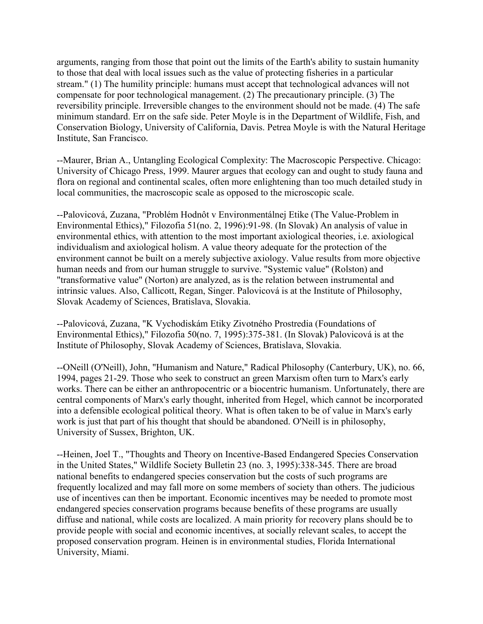arguments, ranging from those that point out the limits of the Earth's ability to sustain humanity to those that deal with local issues such as the value of protecting fisheries in a particular stream." (1) The humility principle: humans must accept that technological advances will not compensate for poor technological management. (2) The precautionary principle. (3) The reversibility principle. Irreversible changes to the environment should not be made. (4) The safe minimum standard. Err on the safe side. Peter Moyle is in the Department of Wildlife, Fish, and Conservation Biology, University of California, Davis. Petrea Moyle is with the Natural Heritage Institute, San Francisco.

--Maurer, Brian A., Untangling Ecological Complexity: The Macroscopic Perspective. Chicago: University of Chicago Press, 1999. Maurer argues that ecology can and ought to study fauna and flora on regional and continental scales, often more enlightening than too much detailed study in local communities, the macroscopic scale as opposed to the microscopic scale.

--Palovicová, Zuzana, "Problém Hodnôt v Environmentálnej Etike (The Value-Problem in Environmental Ethics)," Filozofia 51(no. 2, 1996):91-98. (In Slovak) An analysis of value in environmental ethics, with attention to the most important axiological theories, i.e. axiological individualism and axiological holism. A value theory adequate for the protection of the environment cannot be built on a merely subjective axiology. Value results from more objective human needs and from our human struggle to survive. "Systemic value" (Rolston) and "transformative value" (Norton) are analyzed, as is the relation between instrumental and intrinsic values. Also, Callicott, Regan, Singer. Palovicová is at the Institute of Philosophy, Slovak Academy of Sciences, Bratislava, Slovakia.

--Palovicová, Zuzana, "K Vychodiskám Etiky Zivotného Prostredia (Foundations of Environmental Ethics)," Filozofia 50(no. 7, 1995):375-381. (In Slovak) Palovicová is at the Institute of Philosophy, Slovak Academy of Sciences, Bratislava, Slovakia.

--ONeill (O'Neill), John, "Humanism and Nature," Radical Philosophy (Canterbury, UK), no. 66, 1994, pages 21-29. Those who seek to construct an green Marxism often turn to Marx's early works. There can be either an anthropocentric or a biocentric humanism. Unfortunately, there are central components of Marx's early thought, inherited from Hegel, which cannot be incorporated into a defensible ecological political theory. What is often taken to be of value in Marx's early work is just that part of his thought that should be abandoned. O'Neill is in philosophy, University of Sussex, Brighton, UK.

--Heinen, Joel T., "Thoughts and Theory on Incentive-Based Endangered Species Conservation in the United States," Wildlife Society Bulletin 23 (no. 3, 1995):338-345. There are broad national benefits to endangered species conservation but the costs of such programs are frequently localized and may fall more on some members of society than others. The judicious use of incentives can then be important. Economic incentives may be needed to promote most endangered species conservation programs because benefits of these programs are usually diffuse and national, while costs are localized. A main priority for recovery plans should be to provide people with social and economic incentives, at socially relevant scales, to accept the proposed conservation program. Heinen is in environmental studies, Florida International University, Miami.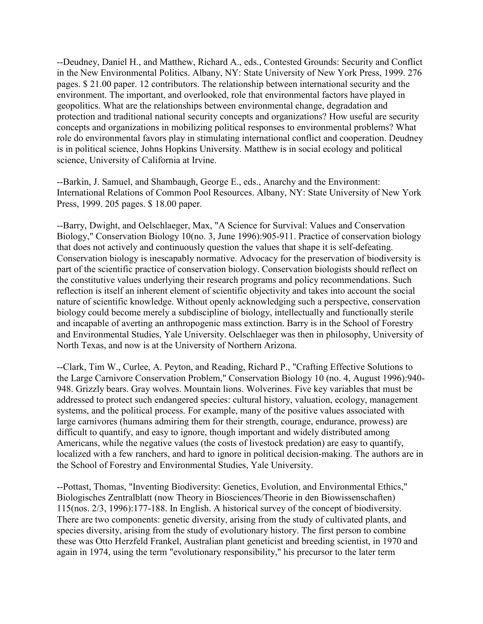--Deudney, Daniel H., and Matthew, Richard A., eds., Contested Grounds: Security and Conflict in the New Environmental Politics. Albany, NY: State University of New York Press, 1999. 276 pages. \$ 21.00 paper. 12 contributors. The relationship between international security and the environment. The important, and overlooked, role that environmental factors have played in geopolitics. What are the relationships between environmental change, degradation and protection and traditional national security concepts and organizations? How useful are security concepts and organizations in mobilizing political responses to environmental problems? What role do environmental favors play in stimulating international conflict and cooperation. Deudney is in political science, Johns Hopkins University. Matthew is in social ecology and political science, University of California at Irvine.

--Barkin, J. Samuel, and Shambaugh, George E., eds., Anarchy and the Environment: International Relations of Common Pool Resources. Albany, NY: State University of New York Press, 1999. 205 pages. \$ 18.00 paper.

--Barry, Dwight, and Oelschlaeger, Max, "A Science for Survival: Values and Conservation Biology," Conservation Biology 10(no. 3, June 1996):905-911. Practice of conservation biology that does not actively and continuously question the values that shape it is self-defeating. Conservation biology is inescapably normative. Advocacy for the preservation of biodiversity is part of the scientific practice of conservation biology. Conservation biologists should reflect on the constitutive values underlying their research programs and policy recommendations. Such reflection is itself an inherent element of scientific objectivity and takes into account the social nature of scientific knowledge. Without openly acknowledging such a perspective, conservation biology could become merely a subdiscipline of biology, intellectually and functionally sterile and incapable of averting an anthropogenic mass extinction. Barry is in the School of Forestry and Environmental Studies, Yale University. Oelschlaeger was then in philosophy, University of North Texas, and now is at the University of Northern Arizona.

--Clark, Tim W., Curlee, A. Peyton, and Reading, Richard P., "Crafting Effective Solutions to the Large Carnivore Conservation Problem," Conservation Biology 10 (no. 4, August 1996):940- 948. Grizzly bears. Gray wolves. Mountain lions. Wolverines. Five key variables that must be addressed to protect such endangered species: cultural history, valuation, ecology, management systems, and the political process. For example, many of the positive values associated with large carnivores (humans admiring them for their strength, courage, endurance, prowess) are difficult to quantify, and easy to ignore, though important and widely distributed among Americans, while the negative values (the costs of livestock predation) are easy to quantify, localized with a few ranchers, and hard to ignore in political decision-making. The authors are in the School of Forestry and Environmental Studies, Yale University.

--Pottast, Thomas, "Inventing Biodiversity: Genetics, Evolution, and Environmental Ethics," Biologisches Zentralblatt (now Theory in Biosciences/Theorie in den Biowissenschaften) 115(nos. 2/3, 1996):177-188. In English. A historical survey of the concept of biodiversity. There are two components: genetic diversity, arising from the study of cultivated plants, and species diversity, arising from the study of evolutionary history. The first person to combine these was Otto Herzfeld Frankel, Australian plant geneticist and breeding scientist, in 1970 and again in 1974, using the term "evolutionary responsibility," his precursor to the later term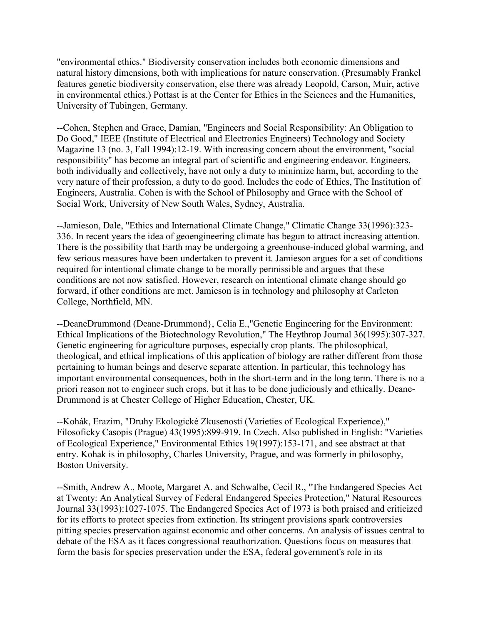"environmental ethics." Biodiversity conservation includes both economic dimensions and natural history dimensions, both with implications for nature conservation. (Presumably Frankel features genetic biodiversity conservation, else there was already Leopold, Carson, Muir, active in environmental ethics.) Pottast is at the Center for Ethics in the Sciences and the Humanities, University of Tubingen, Germany.

--Cohen, Stephen and Grace, Damian, "Engineers and Social Responsibility: An Obligation to Do Good," IEEE (Institute of Electrical and Electronics Engineers) Technology and Society Magazine 13 (no. 3, Fall 1994):12-19. With increasing concern about the environment, "social responsibility" has become an integral part of scientific and engineering endeavor. Engineers, both individually and collectively, have not only a duty to minimize harm, but, according to the very nature of their profession, a duty to do good. Includes the code of Ethics, The Institution of Engineers, Australia. Cohen is with the School of Philosophy and Grace with the School of Social Work, University of New South Wales, Sydney, Australia.

--Jamieson, Dale, "Ethics and International Climate Change," Climatic Change 33(1996):323- 336. In recent years the idea of geoengineering climate has begun to attract increasing attention. There is the possibility that Earth may be undergoing a greenhouse-induced global warming, and few serious measures have been undertaken to prevent it. Jamieson argues for a set of conditions required for intentional climate change to be morally permissible and argues that these conditions are not now satisfied. However, research on intentional climate change should go forward, if other conditions are met. Jamieson is in technology and philosophy at Carleton College, Northfield, MN.

--DeaneDrummond (Deane-Drummond}, Celia E.,"Genetic Engineering for the Environment: Ethical Implications of the Biotechnology Revolution," The Heythrop Journal 36(1995):307-327. Genetic engineering for agriculture purposes, especially crop plants. The philosophical, theological, and ethical implications of this application of biology are rather different from those pertaining to human beings and deserve separate attention. In particular, this technology has important environmental consequences, both in the short-term and in the long term. There is no a priori reason not to engineer such crops, but it has to be done judiciously and ethically. Deane-Drummond is at Chester College of Higher Education, Chester, UK.

--Kohák, Erazim, "Druhy Ekologické Zkusenosti (Varieties of Ecological Experience)," Filosoficky Casopis (Prague) 43(1995):899-919. In Czech. Also published in English: "Varieties of Ecological Experience," Environmental Ethics 19(1997):153-171, and see abstract at that entry. Kohak is in philosophy, Charles University, Prague, and was formerly in philosophy, Boston University.

--Smith, Andrew A., Moote, Margaret A. and Schwalbe, Cecil R., "The Endangered Species Act at Twenty: An Analytical Survey of Federal Endangered Species Protection," Natural Resources Journal 33(1993):1027-1075. The Endangered Species Act of 1973 is both praised and criticized for its efforts to protect species from extinction. Its stringent provisions spark controversies pitting species preservation against economic and other concerns. An analysis of issues central to debate of the ESA as it faces congressional reauthorization. Questions focus on measures that form the basis for species preservation under the ESA, federal government's role in its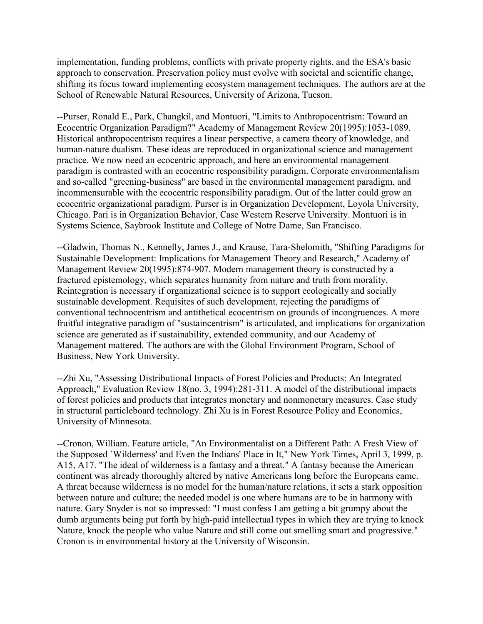implementation, funding problems, conflicts with private property rights, and the ESA's basic approach to conservation. Preservation policy must evolve with societal and scientific change, shifting its focus toward implementing ecosystem management techniques. The authors are at the School of Renewable Natural Resources, University of Arizona, Tucson.

--Purser, Ronald E., Park, Changkil, and Montuori, "Limits to Anthropocentrism: Toward an Ecocentric Organization Paradigm?" Academy of Management Review 20(1995):1053-1089. Historical anthropocentrism requires a linear perspective, a camera theory of knowledge, and human-nature dualism. These ideas are reproduced in organizational science and management practice. We now need an ecocentric approach, and here an environmental management paradigm is contrasted with an ecocentric responsibility paradigm. Corporate environmentalism and so-called "greening-business" are based in the environmental management paradigm, and incommensurable with the ecocentric responsibility paradigm. Out of the latter could grow an ecocentric organizational paradigm. Purser is in Organization Development, Loyola University, Chicago. Pari is in Organization Behavior, Case Western Reserve University. Montuori is in Systems Science, Saybrook Institute and College of Notre Dame, San Francisco.

--Gladwin, Thomas N., Kennelly, James J., and Krause, Tara-Shelomith, "Shifting Paradigms for Sustainable Development: Implications for Management Theory and Research," Academy of Management Review 20(1995):874-907. Modern management theory is constructed by a fractured epistemology, which separates humanity from nature and truth from morality. Reintegration is necessary if organizational science is to support ecologically and socially sustainable development. Requisites of such development, rejecting the paradigms of conventional technocentrism and antithetical ecocentrism on grounds of incongruences. A more fruitful integrative paradigm of "sustaincentrism" is articulated, and implications for organization science are generated as if sustainability, extended community, and our Academy of Management mattered. The authors are with the Global Environment Program, School of Business, New York University.

--Zhi Xu, "Assessing Distributional Impacts of Forest Policies and Products: An Integrated Approach," Evaluation Review 18(no. 3, 1994):281-311. A model of the distributional impacts of forest policies and products that integrates monetary and nonmonetary measures. Case study in structural particleboard technology. Zhi Xu is in Forest Resource Policy and Economics, University of Minnesota.

--Cronon, William. Feature article, "An Environmentalist on a Different Path: A Fresh View of the Supposed `Wilderness' and Even the Indians' Place in It," New York Times, April 3, 1999, p. A15, A17. "The ideal of wilderness is a fantasy and a threat." A fantasy because the American continent was already thoroughly altered by native Americans long before the Europeans came. A threat because wilderness is no model for the human/nature relations, it sets a stark opposition between nature and culture; the needed model is one where humans are to be in harmony with nature. Gary Snyder is not so impressed: "I must confess I am getting a bit grumpy about the dumb arguments being put forth by high-paid intellectual types in which they are trying to knock Nature, knock the people who value Nature and still come out smelling smart and progressive." Cronon is in environmental history at the University of Wisconsin.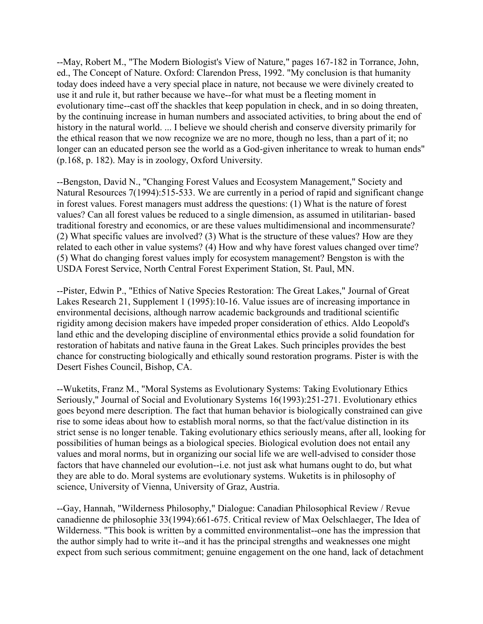--May, Robert M., "The Modern Biologist's View of Nature," pages 167-182 in Torrance, John, ed., The Concept of Nature. Oxford: Clarendon Press, 1992. "My conclusion is that humanity today does indeed have a very special place in nature, not because we were divinely created to use it and rule it, but rather because we have--for what must be a fleeting moment in evolutionary time--cast off the shackles that keep population in check, and in so doing threaten, by the continuing increase in human numbers and associated activities, to bring about the end of history in the natural world. ... I believe we should cherish and conserve diversity primarily for the ethical reason that we now recognize we are no more, though no less, than a part of it; no longer can an educated person see the world as a God-given inheritance to wreak to human ends" (p.168, p. 182). May is in zoology, Oxford University.

--Bengston, David N., "Changing Forest Values and Ecosystem Management," Society and Natural Resources 7(1994):515-533. We are currently in a period of rapid and significant change in forest values. Forest managers must address the questions: (1) What is the nature of forest values? Can all forest values be reduced to a single dimension, as assumed in utilitarian- based traditional forestry and economics, or are these values multidimensional and incommensurate? (2) What specific values are involved? (3) What is the structure of these values? How are they related to each other in value systems? (4) How and why have forest values changed over time? (5) What do changing forest values imply for ecosystem management? Bengston is with the USDA Forest Service, North Central Forest Experiment Station, St. Paul, MN.

--Pister, Edwin P., "Ethics of Native Species Restoration: The Great Lakes," Journal of Great Lakes Research 21, Supplement 1 (1995):10-16. Value issues are of increasing importance in environmental decisions, although narrow academic backgrounds and traditional scientific rigidity among decision makers have impeded proper consideration of ethics. Aldo Leopold's land ethic and the developing discipline of environmental ethics provide a solid foundation for restoration of habitats and native fauna in the Great Lakes. Such principles provides the best chance for constructing biologically and ethically sound restoration programs. Pister is with the Desert Fishes Council, Bishop, CA.

--Wuketits, Franz M., "Moral Systems as Evolutionary Systems: Taking Evolutionary Ethics Seriously," Journal of Social and Evolutionary Systems 16(1993):251-271. Evolutionary ethics goes beyond mere description. The fact that human behavior is biologically constrained can give rise to some ideas about how to establish moral norms, so that the fact/value distinction in its strict sense is no longer tenable. Taking evolutionary ethics seriously means, after all, looking for possibilities of human beings as a biological species. Biological evolution does not entail any values and moral norms, but in organizing our social life we are well-advised to consider those factors that have channeled our evolution--i.e. not just ask what humans ought to do, but what they are able to do. Moral systems are evolutionary systems. Wuketits is in philosophy of science, University of Vienna, University of Graz, Austria.

--Gay, Hannah, "Wilderness Philosophy," Dialogue: Canadian Philosophical Review / Revue canadienne de philosophie 33(1994):661-675. Critical review of Max Oelschlaeger, The Idea of Wilderness. "This book is written by a committed environmentalist--one has the impression that the author simply had to write it--and it has the principal strengths and weaknesses one might expect from such serious commitment; genuine engagement on the one hand, lack of detachment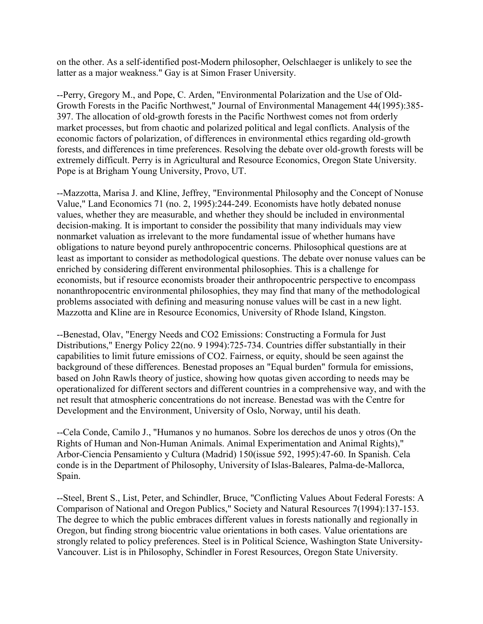on the other. As a self-identified post-Modern philosopher, Oelschlaeger is unlikely to see the latter as a major weakness." Gay is at Simon Fraser University.

--Perry, Gregory M., and Pope, C. Arden, "Environmental Polarization and the Use of Old-Growth Forests in the Pacific Northwest," Journal of Environmental Management 44(1995):385- 397. The allocation of old-growth forests in the Pacific Northwest comes not from orderly market processes, but from chaotic and polarized political and legal conflicts. Analysis of the economic factors of polarization, of differences in environmental ethics regarding old-growth forests, and differences in time preferences. Resolving the debate over old-growth forests will be extremely difficult. Perry is in Agricultural and Resource Economics, Oregon State University. Pope is at Brigham Young University, Provo, UT.

--Mazzotta, Marisa J. and Kline, Jeffrey, "Environmental Philosophy and the Concept of Nonuse Value," Land Economics 71 (no. 2, 1995):244-249. Economists have hotly debated nonuse values, whether they are measurable, and whether they should be included in environmental decision-making. It is important to consider the possibility that many individuals may view nonmarket valuation as irrelevant to the more fundamental issue of whether humans have obligations to nature beyond purely anthropocentric concerns. Philosophical questions are at least as important to consider as methodological questions. The debate over nonuse values can be enriched by considering different environmental philosophies. This is a challenge for economists, but if resource economists broader their anthropocentric perspective to encompass nonanthropocentric environmental philosophies, they may find that many of the methodological problems associated with defining and measuring nonuse values will be cast in a new light. Mazzotta and Kline are in Resource Economics, University of Rhode Island, Kingston.

--Benestad, Olav, "Energy Needs and CO2 Emissions: Constructing a Formula for Just Distributions," Energy Policy 22(no. 9 1994):725-734. Countries differ substantially in their capabilities to limit future emissions of CO2. Fairness, or equity, should be seen against the background of these differences. Benestad proposes an "Equal burden" formula for emissions, based on John Rawls theory of justice, showing how quotas given according to needs may be operationalized for different sectors and different countries in a comprehensive way, and with the net result that atmospheric concentrations do not increase. Benestad was with the Centre for Development and the Environment, University of Oslo, Norway, until his death.

--Cela Conde, Camilo J., "Humanos y no humanos. Sobre los derechos de unos y otros (On the Rights of Human and Non-Human Animals. Animal Experimentation and Animal Rights)," Arbor-Ciencia Pensamiento y Cultura (Madrid) 150(issue 592, 1995):47-60. In Spanish. Cela conde is in the Department of Philosophy, University of Islas-Baleares, Palma-de-Mallorca, Spain.

--Steel, Brent S., List, Peter, and Schindler, Bruce, "Conflicting Values About Federal Forests: A Comparison of National and Oregon Publics," Society and Natural Resources 7(1994):137-153. The degree to which the public embraces different values in forests nationally and regionally in Oregon, but finding strong biocentric value orientations in both cases. Value orientations are strongly related to policy preferences. Steel is in Political Science, Washington State University-Vancouver. List is in Philosophy, Schindler in Forest Resources, Oregon State University.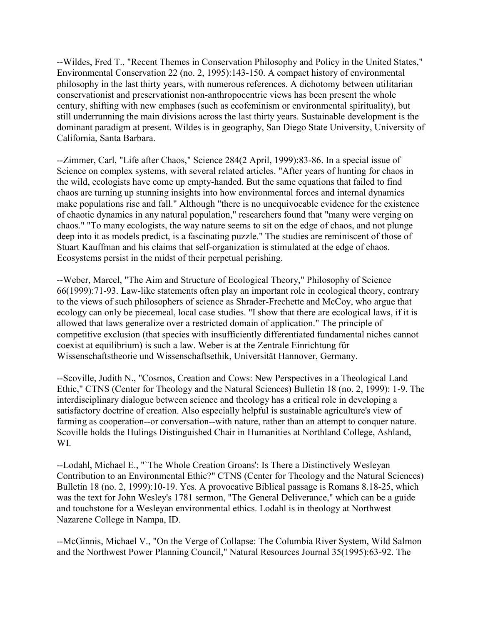--Wildes, Fred T., "Recent Themes in Conservation Philosophy and Policy in the United States," Environmental Conservation 22 (no. 2, 1995):143-150. A compact history of environmental philosophy in the last thirty years, with numerous references. A dichotomy between utilitarian conservationist and preservationist non-anthropocentric views has been present the whole century, shifting with new emphases (such as ecofeminism or environmental spirituality), but still underrunning the main divisions across the last thirty years. Sustainable development is the dominant paradigm at present. Wildes is in geography, San Diego State University, University of California, Santa Barbara.

--Zimmer, Carl, "Life after Chaos," Science 284(2 April, 1999):83-86. In a special issue of Science on complex systems, with several related articles. "After years of hunting for chaos in the wild, ecologists have come up empty-handed. But the same equations that failed to find chaos are turning up stunning insights into how environmental forces and internal dynamics make populations rise and fall." Although "there is no unequivocable evidence for the existence of chaotic dynamics in any natural population," researchers found that "many were verging on chaos." "To many ecologists, the way nature seems to sit on the edge of chaos, and not plunge deep into it as models predict, is a fascinating puzzle." The studies are reminiscent of those of Stuart Kauffman and his claims that self-organization is stimulated at the edge of chaos. Ecosystems persist in the midst of their perpetual perishing.

--Weber, Marcel, "The Aim and Structure of Ecological Theory," Philosophy of Science 66(1999):71-93. Law-like statements often play an important role in ecological theory, contrary to the views of such philosophers of science as Shrader-Frechette and McCoy, who argue that ecology can only be piecemeal, local case studies. "I show that there are ecological laws, if it is allowed that laws generalize over a restricted domain of application." The principle of competitive exclusion (that species with insufficiently differentiated fundamental niches cannot coexist at equilibrium) is such a law. Weber is at the Zentrale Einrichtung für Wissenschaftstheorie und Wissenschaftsethik, Universität Hannover, Germany.

--Scoville, Judith N., "Cosmos, Creation and Cows: New Perspectives in a Theological Land Ethic," CTNS (Center for Theology and the Natural Sciences) Bulletin 18 (no. 2, 1999): 1-9. The interdisciplinary dialogue between science and theology has a critical role in developing a satisfactory doctrine of creation. Also especially helpful is sustainable agriculture's view of farming as cooperation--or conversation--with nature, rather than an attempt to conquer nature. Scoville holds the Hulings Distinguished Chair in Humanities at Northland College, Ashland, WI.

--Lodahl, Michael E., "`The Whole Creation Groans': Is There a Distinctively Wesleyan Contribution to an Environmental Ethic?" CTNS (Center for Theology and the Natural Sciences) Bulletin 18 (no. 2, 1999):10-19. Yes. A provocative Biblical passage is Romans 8.18-25, which was the text for John Wesley's 1781 sermon, "The General Deliverance," which can be a guide and touchstone for a Wesleyan environmental ethics. Lodahl is in theology at Northwest Nazarene College in Nampa, ID.

--McGinnis, Michael V., "On the Verge of Collapse: The Columbia River System, Wild Salmon and the Northwest Power Planning Council," Natural Resources Journal 35(1995):63-92. The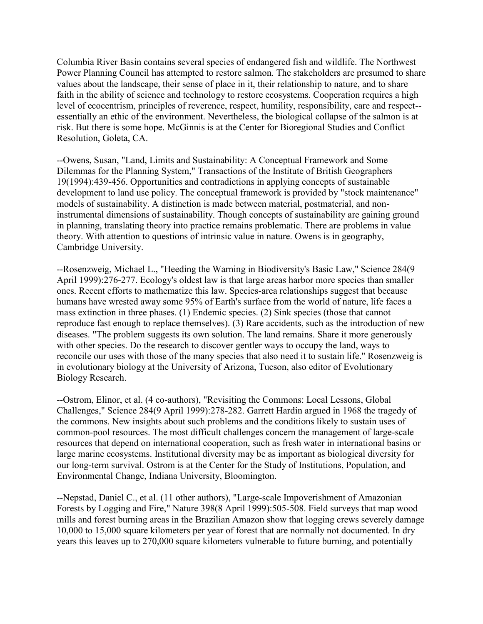Columbia River Basin contains several species of endangered fish and wildlife. The Northwest Power Planning Council has attempted to restore salmon. The stakeholders are presumed to share values about the landscape, their sense of place in it, their relationship to nature, and to share faith in the ability of science and technology to restore ecosystems. Cooperation requires a high level of ecocentrism, principles of reverence, respect, humility, responsibility, care and respect- essentially an ethic of the environment. Nevertheless, the biological collapse of the salmon is at risk. But there is some hope. McGinnis is at the Center for Bioregional Studies and Conflict Resolution, Goleta, CA.

--Owens, Susan, "Land, Limits and Sustainability: A Conceptual Framework and Some Dilemmas for the Planning System," Transactions of the Institute of British Geographers 19(1994):439-456. Opportunities and contradictions in applying concepts of sustainable development to land use policy. The conceptual framework is provided by "stock maintenance" models of sustainability. A distinction is made between material, postmaterial, and noninstrumental dimensions of sustainability. Though concepts of sustainability are gaining ground in planning, translating theory into practice remains problematic. There are problems in value theory. With attention to questions of intrinsic value in nature. Owens is in geography, Cambridge University.

--Rosenzweig, Michael L., "Heeding the Warning in Biodiversity's Basic Law," Science 284(9 April 1999):276-277. Ecology's oldest law is that large areas harbor more species than smaller ones. Recent efforts to mathematize this law. Species-area relationships suggest that because humans have wrested away some 95% of Earth's surface from the world of nature, life faces a mass extinction in three phases. (1) Endemic species. (2) Sink species (those that cannot reproduce fast enough to replace themselves). (3) Rare accidents, such as the introduction of new diseases. "The problem suggests its own solution. The land remains. Share it more generously with other species. Do the research to discover gentler ways to occupy the land, ways to reconcile our uses with those of the many species that also need it to sustain life." Rosenzweig is in evolutionary biology at the University of Arizona, Tucson, also editor of Evolutionary Biology Research.

--Ostrom, Elinor, et al. (4 co-authors), "Revisiting the Commons: Local Lessons, Global Challenges," Science 284(9 April 1999):278-282. Garrett Hardin argued in 1968 the tragedy of the commons. New insights about such problems and the conditions likely to sustain uses of common-pool resources. The most difficult challenges concern the management of large-scale resources that depend on international cooperation, such as fresh water in international basins or large marine ecosystems. Institutional diversity may be as important as biological diversity for our long-term survival. Ostrom is at the Center for the Study of Institutions, Population, and Environmental Change, Indiana University, Bloomington.

--Nepstad, Daniel C., et al. (11 other authors), "Large-scale Impoverishment of Amazonian Forests by Logging and Fire," Nature 398(8 April 1999):505-508. Field surveys that map wood mills and forest burning areas in the Brazilian Amazon show that logging crews severely damage 10,000 to 15,000 square kilometers per year of forest that are normally not documented. In dry years this leaves up to 270,000 square kilometers vulnerable to future burning, and potentially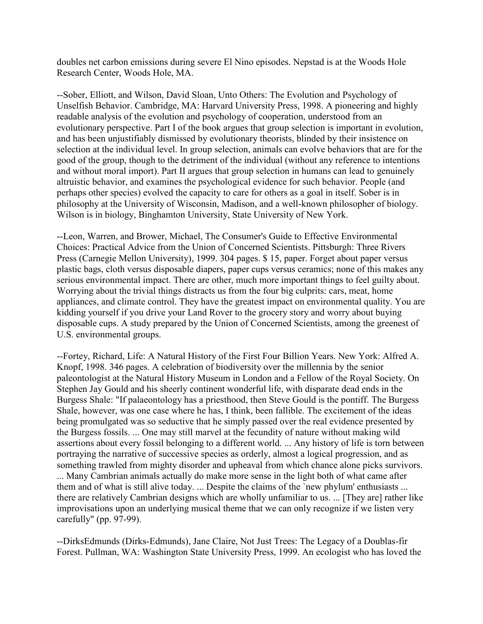doubles net carbon emissions during severe El Nino episodes. Nepstad is at the Woods Hole Research Center, Woods Hole, MA.

--Sober, Elliott, and Wilson, David Sloan, Unto Others: The Evolution and Psychology of Unselfish Behavior. Cambridge, MA: Harvard University Press, 1998. A pioneering and highly readable analysis of the evolution and psychology of cooperation, understood from an evolutionary perspective. Part I of the book argues that group selection is important in evolution, and has been unjustifiably dismissed by evolutionary theorists, blinded by their insistence on selection at the individual level. In group selection, animals can evolve behaviors that are for the good of the group, though to the detriment of the individual (without any reference to intentions and without moral import). Part II argues that group selection in humans can lead to genuinely altruistic behavior, and examines the psychological evidence for such behavior. People (and perhaps other species) evolved the capacity to care for others as a goal in itself. Sober is in philosophy at the University of Wisconsin, Madison, and a well-known philosopher of biology. Wilson is in biology, Binghamton University, State University of New York.

--Leon, Warren, and Brower, Michael, The Consumer's Guide to Effective Environmental Choices: Practical Advice from the Union of Concerned Scientists. Pittsburgh: Three Rivers Press (Carnegie Mellon University), 1999. 304 pages. \$ 15, paper. Forget about paper versus plastic bags, cloth versus disposable diapers, paper cups versus ceramics; none of this makes any serious environmental impact. There are other, much more important things to feel guilty about. Worrying about the trivial things distracts us from the four big culprits: cars, meat, home appliances, and climate control. They have the greatest impact on environmental quality. You are kidding yourself if you drive your Land Rover to the grocery story and worry about buying disposable cups. A study prepared by the Union of Concerned Scientists, among the greenest of U.S. environmental groups.

--Fortey, Richard, Life: A Natural History of the First Four Billion Years. New York: Alfred A. Knopf, 1998. 346 pages. A celebration of biodiversity over the millennia by the senior paleontologist at the Natural History Museum in London and a Fellow of the Royal Society. On Stephen Jay Gould and his sheerly continent wonderful life, with disparate dead ends in the Burgess Shale: "If palaeontology has a priesthood, then Steve Gould is the pontiff. The Burgess Shale, however, was one case where he has, I think, been fallible. The excitement of the ideas being promulgated was so seductive that he simply passed over the real evidence presented by the Burgess fossils. ... One may still marvel at the fecundity of nature without making wild assertions about every fossil belonging to a different world. ... Any history of life is torn between portraying the narrative of successive species as orderly, almost a logical progression, and as something trawled from mighty disorder and upheaval from which chance alone picks survivors. ... Many Cambrian animals actually do make more sense in the light both of what came after them and of what is still alive today. ... Despite the claims of the `new phylum' enthusiasts ... there are relatively Cambrian designs which are wholly unfamiliar to us. ... [They are] rather like improvisations upon an underlying musical theme that we can only recognize if we listen very carefully" (pp. 97-99).

--DirksEdmunds (Dirks-Edmunds), Jane Claire, Not Just Trees: The Legacy of a Doublas-fir Forest. Pullman, WA: Washington State University Press, 1999. An ecologist who has loved the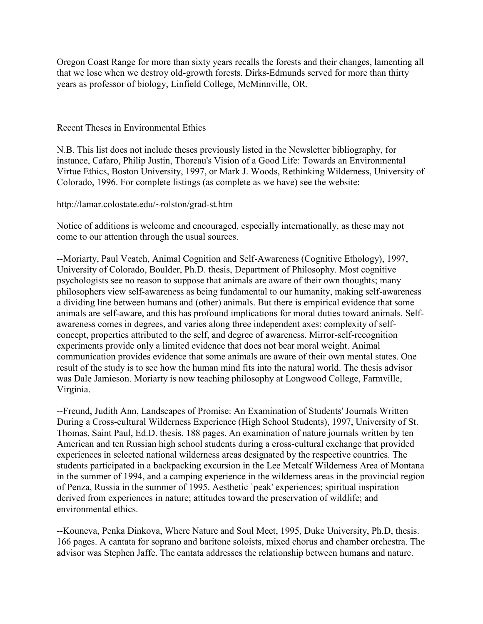Oregon Coast Range for more than sixty years recalls the forests and their changes, lamenting all that we lose when we destroy old-growth forests. Dirks-Edmunds served for more than thirty years as professor of biology, Linfield College, McMinnville, OR.

Recent Theses in Environmental Ethics

N.B. This list does not include theses previously listed in the Newsletter bibliography, for instance, Cafaro, Philip Justin, Thoreau's Vision of a Good Life: Towards an Environmental Virtue Ethics, Boston University, 1997, or Mark J. Woods, Rethinking Wilderness, University of Colorado, 1996. For complete listings (as complete as we have) see the website:

http://lamar.colostate.edu/~rolston/grad-st.htm

Notice of additions is welcome and encouraged, especially internationally, as these may not come to our attention through the usual sources.

--Moriarty, Paul Veatch, Animal Cognition and Self-Awareness (Cognitive Ethology), 1997, University of Colorado, Boulder, Ph.D. thesis, Department of Philosophy. Most cognitive psychologists see no reason to suppose that animals are aware of their own thoughts; many philosophers view self-awareness as being fundamental to our humanity, making self-awareness a dividing line between humans and (other) animals. But there is empirical evidence that some animals are self-aware, and this has profound implications for moral duties toward animals. Selfawareness comes in degrees, and varies along three independent axes: complexity of selfconcept, properties attributed to the self, and degree of awareness. Mirror-self-recognition experiments provide only a limited evidence that does not bear moral weight. Animal communication provides evidence that some animals are aware of their own mental states. One result of the study is to see how the human mind fits into the natural world. The thesis advisor was Dale Jamieson. Moriarty is now teaching philosophy at Longwood College, Farmville, Virginia.

--Freund, Judith Ann, Landscapes of Promise: An Examination of Students' Journals Written During a Cross-cultural Wilderness Experience (High School Students), 1997, University of St. Thomas, Saint Paul, Ed.D. thesis. 188 pages. An examination of nature journals written by ten American and ten Russian high school students during a cross-cultural exchange that provided experiences in selected national wilderness areas designated by the respective countries. The students participated in a backpacking excursion in the Lee Metcalf Wilderness Area of Montana in the summer of 1994, and a camping experience in the wilderness areas in the provincial region of Penza, Russia in the summer of 1995. Aesthetic `peak' experiences; spiritual inspiration derived from experiences in nature; attitudes toward the preservation of wildlife; and environmental ethics.

--Kouneva, Penka Dinkova, Where Nature and Soul Meet, 1995, Duke University, Ph.D, thesis. 166 pages. A cantata for soprano and baritone soloists, mixed chorus and chamber orchestra. The advisor was Stephen Jaffe. The cantata addresses the relationship between humans and nature.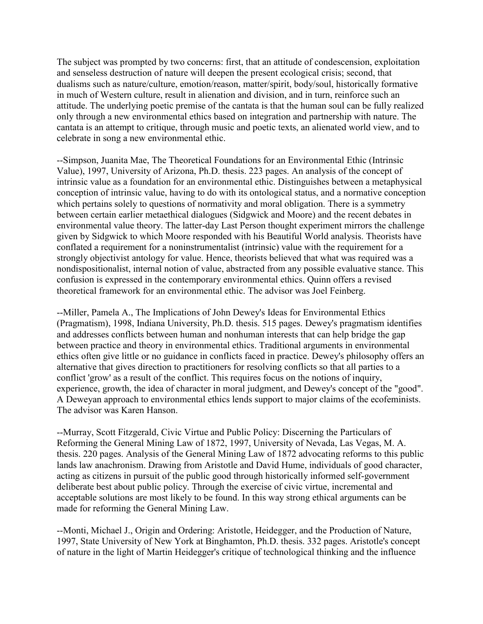The subject was prompted by two concerns: first, that an attitude of condescension, exploitation and senseless destruction of nature will deepen the present ecological crisis; second, that dualisms such as nature/culture, emotion/reason, matter/spirit, body/soul, historically formative in much of Western culture, result in alienation and division, and in turn, reinforce such an attitude. The underlying poetic premise of the cantata is that the human soul can be fully realized only through a new environmental ethics based on integration and partnership with nature. The cantata is an attempt to critique, through music and poetic texts, an alienated world view, and to celebrate in song a new environmental ethic.

--Simpson, Juanita Mae, The Theoretical Foundations for an Environmental Ethic (Intrinsic Value), 1997, University of Arizona, Ph.D. thesis. 223 pages. An analysis of the concept of intrinsic value as a foundation for an environmental ethic. Distinguishes between a metaphysical conception of intrinsic value, having to do with its ontological status, and a normative conception which pertains solely to questions of normativity and moral obligation. There is a symmetry between certain earlier metaethical dialogues (Sidgwick and Moore) and the recent debates in environmental value theory. The latter-day Last Person thought experiment mirrors the challenge given by Sidgwick to which Moore responded with his Beautiful World analysis. Theorists have conflated a requirement for a noninstrumentalist (intrinsic) value with the requirement for a strongly objectivist antology for value. Hence, theorists believed that what was required was a nondispositionalist, internal notion of value, abstracted from any possible evaluative stance. This confusion is expressed in the contemporary environmental ethics. Quinn offers a revised theoretical framework for an environmental ethic. The advisor was Joel Feinberg.

--Miller, Pamela A., The Implications of John Dewey's Ideas for Environmental Ethics (Pragmatism), 1998, Indiana University, Ph.D. thesis. 515 pages. Dewey's pragmatism identifies and addresses conflicts between human and nonhuman interests that can help bridge the gap between practice and theory in environmental ethics. Traditional arguments in environmental ethics often give little or no guidance in conflicts faced in practice. Dewey's philosophy offers an alternative that gives direction to practitioners for resolving conflicts so that all parties to a conflict 'grow' as a result of the conflict. This requires focus on the notions of inquiry, experience, growth, the idea of character in moral judgment, and Dewey's concept of the "good". A Deweyan approach to environmental ethics lends support to major claims of the ecofeminists. The advisor was Karen Hanson.

--Murray, Scott Fitzgerald, Civic Virtue and Public Policy: Discerning the Particulars of Reforming the General Mining Law of 1872, 1997, University of Nevada, Las Vegas, M. A. thesis. 220 pages. Analysis of the General Mining Law of 1872 advocating reforms to this public lands law anachronism. Drawing from Aristotle and David Hume, individuals of good character, acting as citizens in pursuit of the public good through historically informed self-government deliberate best about public policy. Through the exercise of civic virtue, incremental and acceptable solutions are most likely to be found. In this way strong ethical arguments can be made for reforming the General Mining Law.

--Monti, Michael J., Origin and Ordering: Aristotle, Heidegger, and the Production of Nature, 1997, State University of New York at Binghamton, Ph.D. thesis. 332 pages. Aristotle's concept of nature in the light of Martin Heidegger's critique of technological thinking and the influence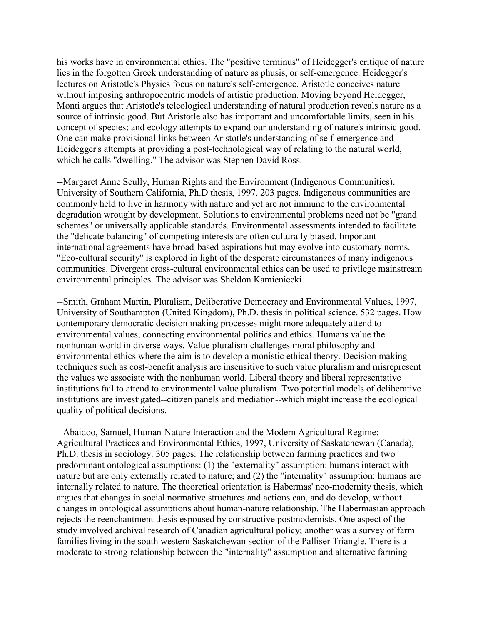his works have in environmental ethics. The "positive terminus" of Heidegger's critique of nature lies in the forgotten Greek understanding of nature as phusis, or self-emergence. Heidegger's lectures on Aristotle's Physics focus on nature's self-emergence. Aristotle conceives nature without imposing anthropocentric models of artistic production. Moving beyond Heidegger, Monti argues that Aristotle's teleological understanding of natural production reveals nature as a source of intrinsic good. But Aristotle also has important and uncomfortable limits, seen in his concept of species; and ecology attempts to expand our understanding of nature's intrinsic good. One can make provisional links between Aristotle's understanding of self-emergence and Heidegger's attempts at providing a post-technological way of relating to the natural world, which he calls "dwelling." The advisor was Stephen David Ross.

--Margaret Anne Scully, Human Rights and the Environment (Indigenous Communities), University of Southern California, Ph.D thesis, 1997. 203 pages. Indigenous communities are commonly held to live in harmony with nature and yet are not immune to the environmental degradation wrought by development. Solutions to environmental problems need not be "grand schemes" or universally applicable standards. Environmental assessments intended to facilitate the "delicate balancing" of competing interests are often culturally biased. Important international agreements have broad-based aspirations but may evolve into customary norms. "Eco-cultural security" is explored in light of the desperate circumstances of many indigenous communities. Divergent cross-cultural environmental ethics can be used to privilege mainstream environmental principles. The advisor was Sheldon Kamieniecki.

--Smith, Graham Martin, Pluralism, Deliberative Democracy and Environmental Values, 1997, University of Southampton (United Kingdom), Ph.D. thesis in political science. 532 pages. How contemporary democratic decision making processes might more adequately attend to environmental values, connecting environmental politics and ethics. Humans value the nonhuman world in diverse ways. Value pluralism challenges moral philosophy and environmental ethics where the aim is to develop a monistic ethical theory. Decision making techniques such as cost-benefit analysis are insensitive to such value pluralism and misrepresent the values we associate with the nonhuman world. Liberal theory and liberal representative institutions fail to attend to environmental value pluralism. Two potential models of deliberative institutions are investigated--citizen panels and mediation--which might increase the ecological quality of political decisions.

--Abaidoo, Samuel, Human-Nature Interaction and the Modern Agricultural Regime: Agricultural Practices and Environmental Ethics, 1997, University of Saskatchewan (Canada), Ph.D. thesis in sociology. 305 pages. The relationship between farming practices and two predominant ontological assumptions: (1) the "externality" assumption: humans interact with nature but are only externally related to nature; and (2) the "internality" assumption: humans are internally related to nature. The theoretical orientation is Habermas' neo-modernity thesis, which argues that changes in social normative structures and actions can, and do develop, without changes in ontological assumptions about human-nature relationship. The Habermasian approach rejects the reenchantment thesis espoused by constructive postmodernists. One aspect of the study involved archival research of Canadian agricultural policy; another was a survey of farm families living in the south western Saskatchewan section of the Palliser Triangle. There is a moderate to strong relationship between the "internality" assumption and alternative farming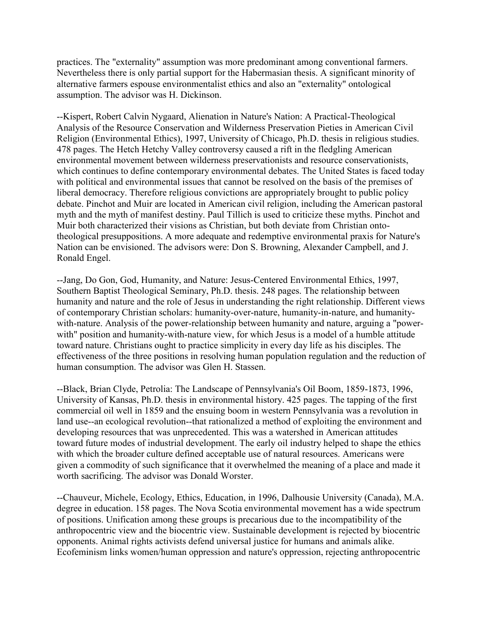practices. The "externality" assumption was more predominant among conventional farmers. Nevertheless there is only partial support for the Habermasian thesis. A significant minority of alternative farmers espouse environmentalist ethics and also an "externality" ontological assumption. The advisor was H. Dickinson.

--Kispert, Robert Calvin Nygaard, Alienation in Nature's Nation: A Practical-Theological Analysis of the Resource Conservation and Wilderness Preservation Pieties in American Civil Religion (Environmental Ethics), 1997, University of Chicago, Ph.D. thesis in religious studies. 478 pages. The Hetch Hetchy Valley controversy caused a rift in the fledgling American environmental movement between wilderness preservationists and resource conservationists, which continues to define contemporary environmental debates. The United States is faced today with political and environmental issues that cannot be resolved on the basis of the premises of liberal democracy. Therefore religious convictions are appropriately brought to public policy debate. Pinchot and Muir are located in American civil religion, including the American pastoral myth and the myth of manifest destiny. Paul Tillich is used to criticize these myths. Pinchot and Muir both characterized their visions as Christian, but both deviate from Christian ontotheological presuppositions. A more adequate and redemptive environmental praxis for Nature's Nation can be envisioned. The advisors were: Don S. Browning, Alexander Campbell, and J. Ronald Engel.

--Jang, Do Gon, God, Humanity, and Nature: Jesus-Centered Environmental Ethics, 1997, Southern Baptist Theological Seminary, Ph.D. thesis. 248 pages. The relationship between humanity and nature and the role of Jesus in understanding the right relationship. Different views of contemporary Christian scholars: humanity-over-nature, humanity-in-nature, and humanitywith-nature. Analysis of the power-relationship between humanity and nature, arguing a "powerwith" position and humanity-with-nature view, for which Jesus is a model of a humble attitude toward nature. Christians ought to practice simplicity in every day life as his disciples. The effectiveness of the three positions in resolving human population regulation and the reduction of human consumption. The advisor was Glen H. Stassen.

--Black, Brian Clyde, Petrolia: The Landscape of Pennsylvania's Oil Boom, 1859-1873, 1996, University of Kansas, Ph.D. thesis in environmental history. 425 pages. The tapping of the first commercial oil well in 1859 and the ensuing boom in western Pennsylvania was a revolution in land use--an ecological revolution--that rationalized a method of exploiting the environment and developing resources that was unprecedented. This was a watershed in American attitudes toward future modes of industrial development. The early oil industry helped to shape the ethics with which the broader culture defined acceptable use of natural resources. Americans were given a commodity of such significance that it overwhelmed the meaning of a place and made it worth sacrificing. The advisor was Donald Worster.

--Chauveur, Michele, Ecology, Ethics, Education, in 1996, Dalhousie University (Canada), M.A. degree in education. 158 pages. The Nova Scotia environmental movement has a wide spectrum of positions. Unification among these groups is precarious due to the incompatibility of the anthropocentric view and the biocentric view. Sustainable development is rejected by biocentric opponents. Animal rights activists defend universal justice for humans and animals alike. Ecofeminism links women/human oppression and nature's oppression, rejecting anthropocentric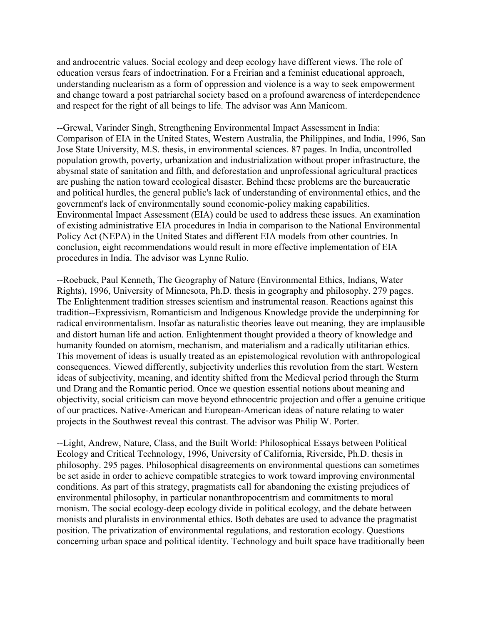and androcentric values. Social ecology and deep ecology have different views. The role of education versus fears of indoctrination. For a Freirian and a feminist educational approach, understanding nuclearism as a form of oppression and violence is a way to seek empowerment and change toward a post patriarchal society based on a profound awareness of interdependence and respect for the right of all beings to life. The advisor was Ann Manicom.

--Grewal, Varinder Singh, Strengthening Environmental Impact Assessment in India: Comparison of EIA in the United States, Western Australia, the Philippines, and India, 1996, San Jose State University, M.S. thesis, in environmental sciences. 87 pages. In India, uncontrolled population growth, poverty, urbanization and industrialization without proper infrastructure, the abysmal state of sanitation and filth, and deforestation and unprofessional agricultural practices are pushing the nation toward ecological disaster. Behind these problems are the bureaucratic and political hurdles, the general public's lack of understanding of environmental ethics, and the government's lack of environmentally sound economic-policy making capabilities. Environmental Impact Assessment (EIA) could be used to address these issues. An examination of existing administrative EIA procedures in India in comparison to the National Environmental Policy Act (NEPA) in the United States and different EIA models from other countries. In conclusion, eight recommendations would result in more effective implementation of EIA procedures in India. The advisor was Lynne Rulio.

--Roebuck, Paul Kenneth, The Geography of Nature (Environmental Ethics, Indians, Water Rights), 1996, University of Minnesota, Ph.D. thesis in geography and philosophy. 279 pages. The Enlightenment tradition stresses scientism and instrumental reason. Reactions against this tradition--Expressivism, Romanticism and Indigenous Knowledge provide the underpinning for radical environmentalism. Insofar as naturalistic theories leave out meaning, they are implausible and distort human life and action. Enlightenment thought provided a theory of knowledge and humanity founded on atomism, mechanism, and materialism and a radically utilitarian ethics. This movement of ideas is usually treated as an epistemological revolution with anthropological consequences. Viewed differently, subjectivity underlies this revolution from the start. Western ideas of subjectivity, meaning, and identity shifted from the Medieval period through the Sturm und Drang and the Romantic period. Once we question essential notions about meaning and objectivity, social criticism can move beyond ethnocentric projection and offer a genuine critique of our practices. Native-American and European-American ideas of nature relating to water projects in the Southwest reveal this contrast. The advisor was Philip W. Porter.

--Light, Andrew, Nature, Class, and the Built World: Philosophical Essays between Political Ecology and Critical Technology, 1996, University of California, Riverside, Ph.D. thesis in philosophy. 295 pages. Philosophical disagreements on environmental questions can sometimes be set aside in order to achieve compatible strategies to work toward improving environmental conditions. As part of this strategy, pragmatists call for abandoning the existing prejudices of environmental philosophy, in particular nonanthropocentrism and commitments to moral monism. The social ecology-deep ecology divide in political ecology, and the debate between monists and pluralists in environmental ethics. Both debates are used to advance the pragmatist position. The privatization of environmental regulations, and restoration ecology. Questions concerning urban space and political identity. Technology and built space have traditionally been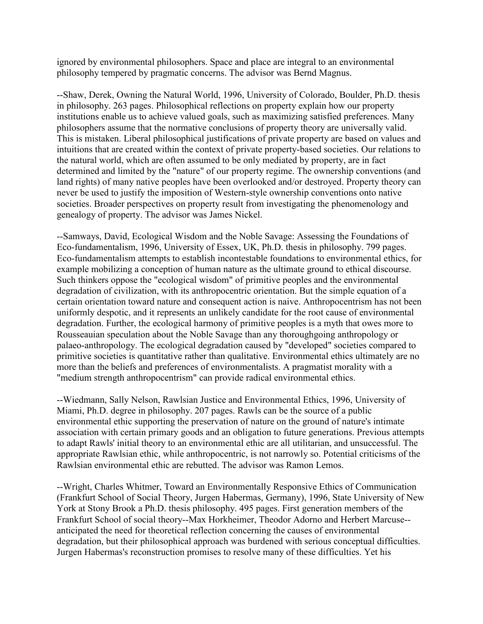ignored by environmental philosophers. Space and place are integral to an environmental philosophy tempered by pragmatic concerns. The advisor was Bernd Magnus.

--Shaw, Derek, Owning the Natural World, 1996, University of Colorado, Boulder, Ph.D. thesis in philosophy. 263 pages. Philosophical reflections on property explain how our property institutions enable us to achieve valued goals, such as maximizing satisfied preferences. Many philosophers assume that the normative conclusions of property theory are universally valid. This is mistaken. Liberal philosophical justifications of private property are based on values and intuitions that are created within the context of private property-based societies. Our relations to the natural world, which are often assumed to be only mediated by property, are in fact determined and limited by the "nature" of our property regime. The ownership conventions (and land rights) of many native peoples have been overlooked and/or destroyed. Property theory can never be used to justify the imposition of Western-style ownership conventions onto native societies. Broader perspectives on property result from investigating the phenomenology and genealogy of property. The advisor was James Nickel.

--Samways, David, Ecological Wisdom and the Noble Savage: Assessing the Foundations of Eco-fundamentalism, 1996, University of Essex, UK, Ph.D. thesis in philosophy. 799 pages. Eco-fundamentalism attempts to establish incontestable foundations to environmental ethics, for example mobilizing a conception of human nature as the ultimate ground to ethical discourse. Such thinkers oppose the "ecological wisdom" of primitive peoples and the environmental degradation of civilization, with its anthropocentric orientation. But the simple equation of a certain orientation toward nature and consequent action is naive. Anthropocentrism has not been uniformly despotic, and it represents an unlikely candidate for the root cause of environmental degradation. Further, the ecological harmony of primitive peoples is a myth that owes more to Rousseauian speculation about the Noble Savage than any thoroughgoing anthropology or palaeo-anthropology. The ecological degradation caused by "developed" societies compared to primitive societies is quantitative rather than qualitative. Environmental ethics ultimately are no more than the beliefs and preferences of environmentalists. A pragmatist morality with a "medium strength anthropocentrism" can provide radical environmental ethics.

--Wiedmann, Sally Nelson, Rawlsian Justice and Environmental Ethics, 1996, University of Miami, Ph.D. degree in philosophy. 207 pages. Rawls can be the source of a public environmental ethic supporting the preservation of nature on the ground of nature's intimate association with certain primary goods and an obligation to future generations. Previous attempts to adapt Rawls' initial theory to an environmental ethic are all utilitarian, and unsuccessful. The appropriate Rawlsian ethic, while anthropocentric, is not narrowly so. Potential criticisms of the Rawlsian environmental ethic are rebutted. The advisor was Ramon Lemos.

--Wright, Charles Whitmer, Toward an Environmentally Responsive Ethics of Communication (Frankfurt School of Social Theory, Jurgen Habermas, Germany), 1996, State University of New York at Stony Brook a Ph.D. thesis philosophy. 495 pages. First generation members of the Frankfurt School of social theory--Max Horkheimer, Theodor Adorno and Herbert Marcuse- anticipated the need for theoretical reflection concerning the causes of environmental degradation, but their philosophical approach was burdened with serious conceptual difficulties. Jurgen Habermas's reconstruction promises to resolve many of these difficulties. Yet his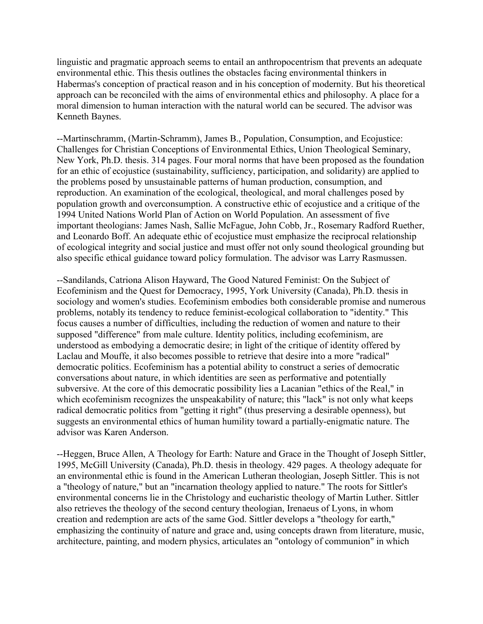linguistic and pragmatic approach seems to entail an anthropocentrism that prevents an adequate environmental ethic. This thesis outlines the obstacles facing environmental thinkers in Habermas's conception of practical reason and in his conception of modernity. But his theoretical approach can be reconciled with the aims of environmental ethics and philosophy. A place for a moral dimension to human interaction with the natural world can be secured. The advisor was Kenneth Baynes.

--Martinschramm, (Martin-Schramm), James B., Population, Consumption, and Ecojustice: Challenges for Christian Conceptions of Environmental Ethics, Union Theological Seminary, New York, Ph.D. thesis. 314 pages. Four moral norms that have been proposed as the foundation for an ethic of ecojustice (sustainability, sufficiency, participation, and solidarity) are applied to the problems posed by unsustainable patterns of human production, consumption, and reproduction. An examination of the ecological, theological, and moral challenges posed by population growth and overconsumption. A constructive ethic of ecojustice and a critique of the 1994 United Nations World Plan of Action on World Population. An assessment of five important theologians: James Nash, Sallie McFague, John Cobb, Jr., Rosemary Radford Ruether, and Leonardo Boff. An adequate ethic of ecojustice must emphasize the reciprocal relationship of ecological integrity and social justice and must offer not only sound theological grounding but also specific ethical guidance toward policy formulation. The advisor was Larry Rasmussen.

--Sandilands, Catriona Alison Hayward, The Good Natured Feminist: On the Subject of Ecofeminism and the Quest for Democracy, 1995, York University (Canada), Ph.D. thesis in sociology and women's studies. Ecofeminism embodies both considerable promise and numerous problems, notably its tendency to reduce feminist-ecological collaboration to "identity." This focus causes a number of difficulties, including the reduction of women and nature to their supposed "difference" from male culture. Identity politics, including ecofeminism, are understood as embodying a democratic desire; in light of the critique of identity offered by Laclau and Mouffe, it also becomes possible to retrieve that desire into a more "radical" democratic politics. Ecofeminism has a potential ability to construct a series of democratic conversations about nature, in which identities are seen as performative and potentially subversive. At the core of this democratic possibility lies a Lacanian "ethics of the Real," in which ecofeminism recognizes the unspeakability of nature; this "lack" is not only what keeps radical democratic politics from "getting it right" (thus preserving a desirable openness), but suggests an environmental ethics of human humility toward a partially-enigmatic nature. The advisor was Karen Anderson.

--Heggen, Bruce Allen, A Theology for Earth: Nature and Grace in the Thought of Joseph Sittler, 1995, McGill University (Canada), Ph.D. thesis in theology. 429 pages. A theology adequate for an environmental ethic is found in the American Lutheran theologian, Joseph Sittler. This is not a "theology of nature," but an "incarnation theology applied to nature." The roots for Sittler's environmental concerns lie in the Christology and eucharistic theology of Martin Luther. Sittler also retrieves the theology of the second century theologian, Irenaeus of Lyons, in whom creation and redemption are acts of the same God. Sittler develops a "theology for earth," emphasizing the continuity of nature and grace and, using concepts drawn from literature, music, architecture, painting, and modern physics, articulates an "ontology of communion" in which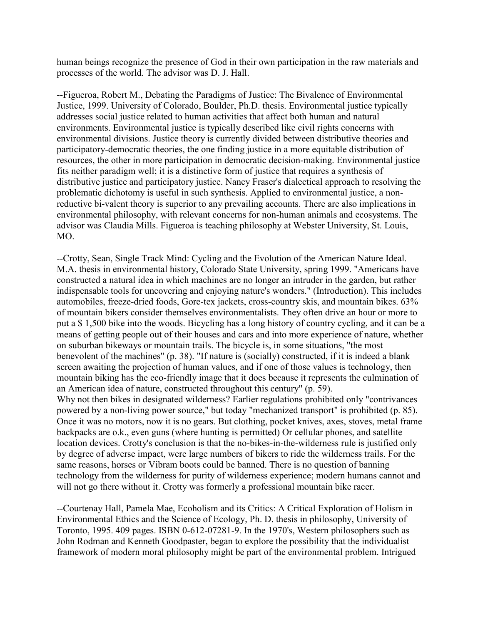human beings recognize the presence of God in their own participation in the raw materials and processes of the world. The advisor was D. J. Hall.

--Figueroa, Robert M., Debating the Paradigms of Justice: The Bivalence of Environmental Justice, 1999. University of Colorado, Boulder, Ph.D. thesis. Environmental justice typically addresses social justice related to human activities that affect both human and natural environments. Environmental justice is typically described like civil rights concerns with environmental divisions. Justice theory is currently divided between distributive theories and participatory-democratic theories, the one finding justice in a more equitable distribution of resources, the other in more participation in democratic decision-making. Environmental justice fits neither paradigm well; it is a distinctive form of justice that requires a synthesis of distributive justice and participatory justice. Nancy Fraser's dialectical approach to resolving the problematic dichotomy is useful in such synthesis. Applied to environmental justice, a nonreductive bi-valent theory is superior to any prevailing accounts. There are also implications in environmental philosophy, with relevant concerns for non-human animals and ecosystems. The advisor was Claudia Mills. Figueroa is teaching philosophy at Webster University, St. Louis, MO.

--Crotty, Sean, Single Track Mind: Cycling and the Evolution of the American Nature Ideal. M.A. thesis in environmental history, Colorado State University, spring 1999. "Americans have constructed a natural idea in which machines are no longer an intruder in the garden, but rather indispensable tools for uncovering and enjoying nature's wonders." (Introduction). This includes automobiles, freeze-dried foods, Gore-tex jackets, cross-country skis, and mountain bikes. 63% of mountain bikers consider themselves environmentalists. They often drive an hour or more to put a \$ 1,500 bike into the woods. Bicycling has a long history of country cycling, and it can be a means of getting people out of their houses and cars and into more experience of nature, whether on suburban bikeways or mountain trails. The bicycle is, in some situations, "the most benevolent of the machines" (p. 38). "If nature is (socially) constructed, if it is indeed a blank screen awaiting the projection of human values, and if one of those values is technology, then mountain biking has the eco-friendly image that it does because it represents the culmination of an American idea of nature, constructed throughout this century" (p. 59).

Why not then bikes in designated wilderness? Earlier regulations prohibited only "contrivances powered by a non-living power source," but today "mechanized transport" is prohibited (p. 85). Once it was no motors, now it is no gears. But clothing, pocket knives, axes, stoves, metal frame backpacks are o.k., even guns (where hunting is permitted) Or cellular phones, and satellite location devices. Crotty's conclusion is that the no-bikes-in-the-wilderness rule is justified only by degree of adverse impact, were large numbers of bikers to ride the wilderness trails. For the same reasons, horses or Vibram boots could be banned. There is no question of banning technology from the wilderness for purity of wilderness experience; modern humans cannot and will not go there without it. Crotty was formerly a professional mountain bike racer.

--Courtenay Hall, Pamela Mae, Ecoholism and its Critics: A Critical Exploration of Holism in Environmental Ethics and the Science of Ecology, Ph. D. thesis in philosophy, University of Toronto, 1995. 409 pages. ISBN 0-612-07281-9. In the 1970's, Western philosophers such as John Rodman and Kenneth Goodpaster, began to explore the possibility that the individualist framework of modern moral philosophy might be part of the environmental problem. Intrigued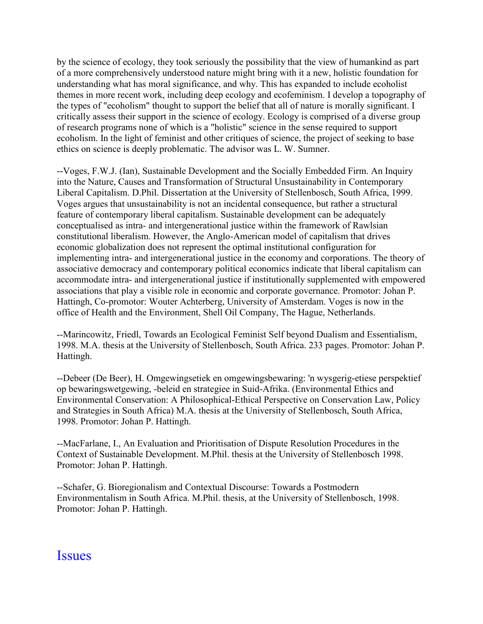by the science of ecology, they took seriously the possibility that the view of humankind as part of a more comprehensively understood nature might bring with it a new, holistic foundation for understanding what has moral significance, and why. This has expanded to include ecoholist themes in more recent work, including deep ecology and ecofeminism. I develop a topography of the types of "ecoholism" thought to support the belief that all of nature is morally significant. I critically assess their support in the science of ecology. Ecology is comprised of a diverse group of research programs none of which is a "holistic" science in the sense required to support ecoholism. In the light of feminist and other critiques of science, the project of seeking to base ethics on science is deeply problematic. The advisor was L. W. Sumner.

--Voges, F.W.J. (Ian), Sustainable Development and the Socially Embedded Firm. An Inquiry into the Nature, Causes and Transformation of Structural Unsustainability in Contemporary Liberal Capitalism. D.Phil. Dissertation at the University of Stellenbosch, South Africa, 1999. Voges argues that unsustainability is not an incidental consequence, but rather a structural feature of contemporary liberal capitalism. Sustainable development can be adequately conceptualised as intra- and intergenerational justice within the framework of Rawlsian constitutional liberalism. However, the Anglo-American model of capitalism that drives economic globalization does not represent the optimal institutional configuration for implementing intra- and intergenerational justice in the economy and corporations. The theory of associative democracy and contemporary political economics indicate that liberal capitalism can accommodate intra- and intergenerational justice if institutionally supplemented with empowered associations that play a visible role in economic and corporate governance. Promotor: Johan P. Hattingh, Co-promotor: Wouter Achterberg, University of Amsterdam. Voges is now in the office of Health and the Environment, Shell Oil Company, The Hague, Netherlands.

--Marincowitz, Friedl, Towards an Ecological Feminist Self beyond Dualism and Essentialism, 1998. M.A. thesis at the University of Stellenbosch, South Africa. 233 pages. Promotor: Johan P. Hattingh.

--Debeer (De Beer), H. Omgewingsetiek en omgewingsbewaring: 'n wysgerig-etiese perspektief op bewaringswetgewing, -beleid en strategiee in Suid-Afrika. (Environmental Ethics and Environmental Conservation: A Philosophical-Ethical Perspective on Conservation Law, Policy and Strategies in South Africa) M.A. thesis at the University of Stellenbosch, South Africa, 1998. Promotor: Johan P. Hattingh.

--MacFarlane, I., An Evaluation and Prioritisation of Dispute Resolution Procedures in the Context of Sustainable Development. M.Phil. thesis at the University of Stellenbosch 1998. Promotor: Johan P. Hattingh.

--Schafer, G. Bioregionalism and Contextual Discourse: Towards a Postmodern Environmentalism in South Africa. M.Phil. thesis, at the University of Stellenbosch, 1998. Promotor: Johan P. Hattingh.

### **Issues**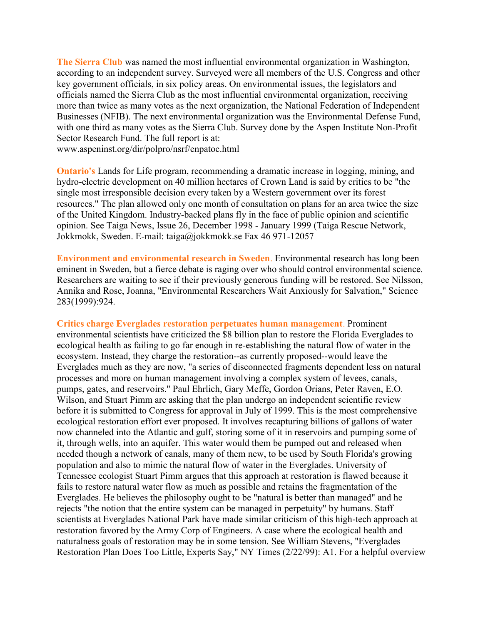**The Sierra Club** was named the most influential environmental organization in Washington, according to an independent survey. Surveyed were all members of the U.S. Congress and other key government officials, in six policy areas. On environmental issues, the legislators and officials named the Sierra Club as the most influential environmental organization, receiving more than twice as many votes as the next organization, the National Federation of Independent Businesses (NFIB). The next environmental organization was the Environmental Defense Fund, with one third as many votes as the Sierra Club. Survey done by the Aspen Institute Non-Profit Sector Research Fund. The full report is at:

www.aspeninst.org/dir/polpro/nsrf/enpatoc.html

**Ontario's** Lands for Life program, recommending a dramatic increase in logging, mining, and hydro-electric development on 40 million hectares of Crown Land is said by critics to be "the single most irresponsible decision every taken by a Western government over its forest resources." The plan allowed only one month of consultation on plans for an area twice the size of the United Kingdom. Industry-backed plans fly in the face of public opinion and scientific opinion. See Taiga News, Issue 26, December 1998 - January 1999 (Taiga Rescue Network, Jokkmokk, Sweden. E-mail: taiga@jokkmokk.se Fax 46 971-12057

**Environment and environmental research in Sweden**. Environmental research has long been eminent in Sweden, but a fierce debate is raging over who should control environmental science. Researchers are waiting to see if their previously generous funding will be restored. See Nilsson, Annika and Rose, Joanna, "Environmental Researchers Wait Anxiously for Salvation," Science 283(1999):924.

**Critics charge Everglades restoration perpetuates human management**. Prominent environmental scientists have criticized the \$8 billion plan to restore the Florida Everglades to ecological health as failing to go far enough in re-establishing the natural flow of water in the ecosystem. Instead, they charge the restoration--as currently proposed--would leave the Everglades much as they are now, "a series of disconnected fragments dependent less on natural processes and more on human management involving a complex system of levees, canals, pumps, gates, and reservoirs." Paul Ehrlich, Gary Meffe, Gordon Orians, Peter Raven, E.O. Wilson, and Stuart Pimm are asking that the plan undergo an independent scientific review before it is submitted to Congress for approval in July of 1999. This is the most comprehensive ecological restoration effort ever proposed. It involves recapturing billions of gallons of water now channeled into the Atlantic and gulf, storing some of it in reservoirs and pumping some of it, through wells, into an aquifer. This water would them be pumped out and released when needed though a network of canals, many of them new, to be used by South Florida's growing population and also to mimic the natural flow of water in the Everglades. University of Tennessee ecologist Stuart Pimm argues that this approach at restoration is flawed because it fails to restore natural water flow as much as possible and retains the fragmentation of the Everglades. He believes the philosophy ought to be "natural is better than managed" and he rejects "the notion that the entire system can be managed in perpetuity" by humans. Staff scientists at Everglades National Park have made similar criticism of this high-tech approach at restoration favored by the Army Corp of Engineers. A case where the ecological health and naturalness goals of restoration may be in some tension. See William Stevens, "Everglades Restoration Plan Does Too Little, Experts Say," NY Times (2/22/99): A1. For a helpful overview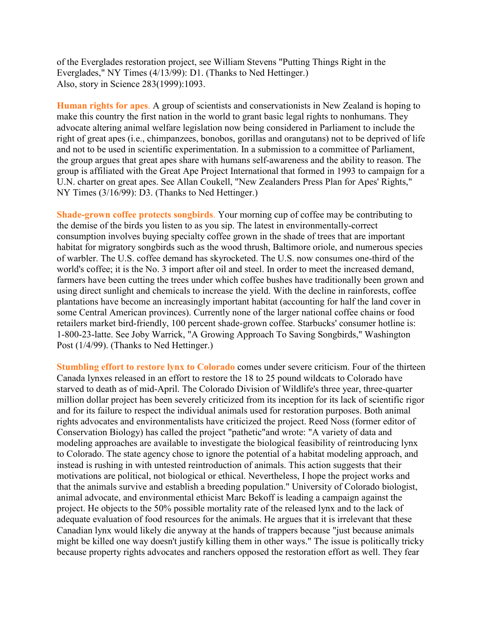of the Everglades restoration project, see William Stevens "Putting Things Right in the Everglades," NY Times (4/13/99): D1. (Thanks to Ned Hettinger.) Also, story in Science 283(1999):1093.

**Human rights for apes**. A group of scientists and conservationists in New Zealand is hoping to make this country the first nation in the world to grant basic legal rights to nonhumans. They advocate altering animal welfare legislation now being considered in Parliament to include the right of great apes (i.e., chimpanzees, bonobos, gorillas and orangutans) not to be deprived of life and not to be used in scientific experimentation. In a submission to a committee of Parliament, the group argues that great apes share with humans self-awareness and the ability to reason. The group is affiliated with the Great Ape Project International that formed in 1993 to campaign for a U.N. charter on great apes. See Allan Coukell, "New Zealanders Press Plan for Apes' Rights," NY Times (3/16/99): D3. (Thanks to Ned Hettinger.)

**Shade-grown coffee protects songbirds**. Your morning cup of coffee may be contributing to the demise of the birds you listen to as you sip. The latest in environmentally-correct consumption involves buying specialty coffee grown in the shade of trees that are important habitat for migratory songbirds such as the wood thrush, Baltimore oriole, and numerous species of warbler. The U.S. coffee demand has skyrocketed. The U.S. now consumes one-third of the world's coffee; it is the No. 3 import after oil and steel. In order to meet the increased demand, farmers have been cutting the trees under which coffee bushes have traditionally been grown and using direct sunlight and chemicals to increase the yield. With the decline in rainforests, coffee plantations have become an increasingly important habitat (accounting for half the land cover in some Central American provinces). Currently none of the larger national coffee chains or food retailers market bird-friendly, 100 percent shade-grown coffee. Starbucks' consumer hotline is: 1-800-23-latte. See Joby Warrick, "A Growing Approach To Saving Songbirds," Washington Post (1/4/99). (Thanks to Ned Hettinger.)

**Stumbling effort to restore lynx to Colorado** comes under severe criticism. Four of the thirteen Canada lynxes released in an effort to restore the 18 to 25 pound wildcats to Colorado have starved to death as of mid-April. The Colorado Division of Wildlife's three year, three-quarter million dollar project has been severely criticized from its inception for its lack of scientific rigor and for its failure to respect the individual animals used for restoration purposes. Both animal rights advocates and environmentalists have criticized the project. Reed Noss (former editor of Conservation Biology) has called the project "pathetic"and wrote: "A variety of data and modeling approaches are available to investigate the biological feasibility of reintroducing lynx to Colorado. The state agency chose to ignore the potential of a habitat modeling approach, and instead is rushing in with untested reintroduction of animals. This action suggests that their motivations are political, not biological or ethical. Nevertheless, I hope the project works and that the animals survive and establish a breeding population." University of Colorado biologist, animal advocate, and environmental ethicist Marc Bekoff is leading a campaign against the project. He objects to the 50% possible mortality rate of the released lynx and to the lack of adequate evaluation of food resources for the animals. He argues that it is irrelevant that these Canadian lynx would likely die anyway at the hands of trappers because "just because animals might be killed one way doesn't justify killing them in other ways." The issue is politically tricky because property rights advocates and ranchers opposed the restoration effort as well. They fear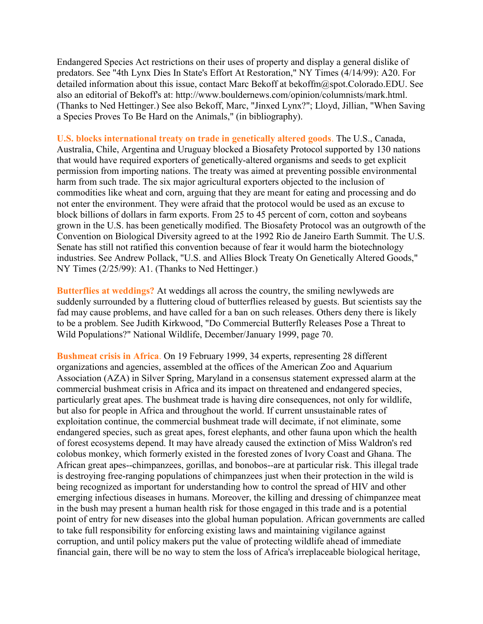Endangered Species Act restrictions on their uses of property and display a general dislike of predators. See "4th Lynx Dies In State's Effort At Restoration," NY Times (4/14/99): A20. For detailed information about this issue, contact Marc Bekoff at bekoffm@spot.Colorado.EDU. See also an editorial of Bekoff's at: http://www.bouldernews.com/opinion/columnists/mark.html. (Thanks to Ned Hettinger.) See also Bekoff, Marc, "Jinxed Lynx?"; Lloyd, Jillian, "When Saving a Species Proves To Be Hard on the Animals," (in bibliography).

**U.S. blocks international treaty on trade in genetically altered goods**. The U.S., Canada, Australia, Chile, Argentina and Uruguay blocked a Biosafety Protocol supported by 130 nations that would have required exporters of genetically-altered organisms and seeds to get explicit permission from importing nations. The treaty was aimed at preventing possible environmental harm from such trade. The six major agricultural exporters objected to the inclusion of commodities like wheat and corn, arguing that they are meant for eating and processing and do not enter the environment. They were afraid that the protocol would be used as an excuse to block billions of dollars in farm exports. From 25 to 45 percent of corn, cotton and soybeans grown in the U.S. has been genetically modified. The Biosafety Protocol was an outgrowth of the Convention on Biological Diversity agreed to at the 1992 Rio de Janeiro Earth Summit. The U.S. Senate has still not ratified this convention because of fear it would harm the biotechnology industries. See Andrew Pollack, "U.S. and Allies Block Treaty On Genetically Altered Goods," NY Times (2/25/99): A1. (Thanks to Ned Hettinger.)

**Butterflies at weddings?** At weddings all across the country, the smiling newlyweds are suddenly surrounded by a fluttering cloud of butterflies released by guests. But scientists say the fad may cause problems, and have called for a ban on such releases. Others deny there is likely to be a problem. See Judith Kirkwood, "Do Commercial Butterfly Releases Pose a Threat to Wild Populations?" National Wildlife, December/January 1999, page 70.

**Bushmeat crisis in Africa**. On 19 February 1999, 34 experts, representing 28 different organizations and agencies, assembled at the offices of the American Zoo and Aquarium Association (AZA) in Silver Spring, Maryland in a consensus statement expressed alarm at the commercial bushmeat crisis in Africa and its impact on threatened and endangered species, particularly great apes. The bushmeat trade is having dire consequences, not only for wildlife, but also for people in Africa and throughout the world. If current unsustainable rates of exploitation continue, the commercial bushmeat trade will decimate, if not eliminate, some endangered species, such as great apes, forest elephants, and other fauna upon which the health of forest ecosystems depend. It may have already caused the extinction of Miss Waldron's red colobus monkey, which formerly existed in the forested zones of Ivory Coast and Ghana. The African great apes--chimpanzees, gorillas, and bonobos--are at particular risk. This illegal trade is destroying free-ranging populations of chimpanzees just when their protection in the wild is being recognized as important for understanding how to control the spread of HIV and other emerging infectious diseases in humans. Moreover, the killing and dressing of chimpanzee meat in the bush may present a human health risk for those engaged in this trade and is a potential point of entry for new diseases into the global human population. African governments are called to take full responsibility for enforcing existing laws and maintaining vigilance against corruption, and until policy makers put the value of protecting wildlife ahead of immediate financial gain, there will be no way to stem the loss of Africa's irreplaceable biological heritage,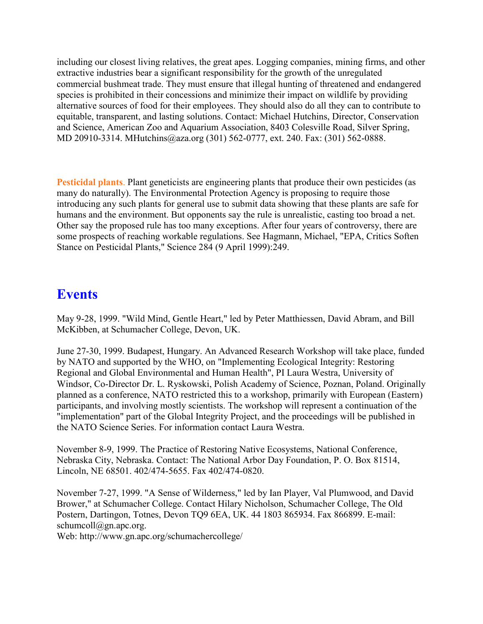including our closest living relatives, the great apes. Logging companies, mining firms, and other extractive industries bear a significant responsibility for the growth of the unregulated commercial bushmeat trade. They must ensure that illegal hunting of threatened and endangered species is prohibited in their concessions and minimize their impact on wildlife by providing alternative sources of food for their employees. They should also do all they can to contribute to equitable, transparent, and lasting solutions. Contact: Michael Hutchins, Director, Conservation and Science, American Zoo and Aquarium Association, 8403 Colesville Road, Silver Spring, MD 20910-3314. MHutchins@aza.org (301) 562-0777, ext. 240. Fax: (301) 562-0888.

**Pesticidal plants**. Plant geneticists are engineering plants that produce their own pesticides (as many do naturally). The Environmental Protection Agency is proposing to require those introducing any such plants for general use to submit data showing that these plants are safe for humans and the environment. But opponents say the rule is unrealistic, casting too broad a net. Other say the proposed rule has too many exceptions. After four years of controversy, there are some prospects of reaching workable regulations. See Hagmann, Michael, "EPA, Critics Soften Stance on Pesticidal Plants," Science 284 (9 April 1999):249.

### **Events**

May 9-28, 1999. "Wild Mind, Gentle Heart," led by Peter Matthiessen, David Abram, and Bill McKibben, at Schumacher College, Devon, UK.

June 27-30, 1999. Budapest, Hungary. An Advanced Research Workshop will take place, funded by NATO and supported by the WHO, on "Implementing Ecological Integrity: Restoring Regional and Global Environmental and Human Health", PI Laura Westra, University of Windsor, Co-Director Dr. L. Ryskowski, Polish Academy of Science, Poznan, Poland. Originally planned as a conference, NATO restricted this to a workshop, primarily with European (Eastern) participants, and involving mostly scientists. The workshop will represent a continuation of the "implementation" part of the Global Integrity Project, and the proceedings will be published in the NATO Science Series. For information contact Laura Westra.

November 8-9, 1999. The Practice of Restoring Native Ecosystems, National Conference, Nebraska City, Nebraska. Contact: The National Arbor Day Foundation, P. O. Box 81514, Lincoln, NE 68501. 402/474-5655. Fax 402/474-0820.

November 7-27, 1999. "A Sense of Wilderness," led by Ian Player, Val Plumwood, and David Brower," at Schumacher College. Contact Hilary Nicholson, Schumacher College, The Old Postern, Dartingon, Totnes, Devon TQ9 6EA, UK. 44 1803 865934. Fax 866899. E-mail: schumcoll@gn.apc.org.

Web: http://www.gn.apc.org/schumachercollege/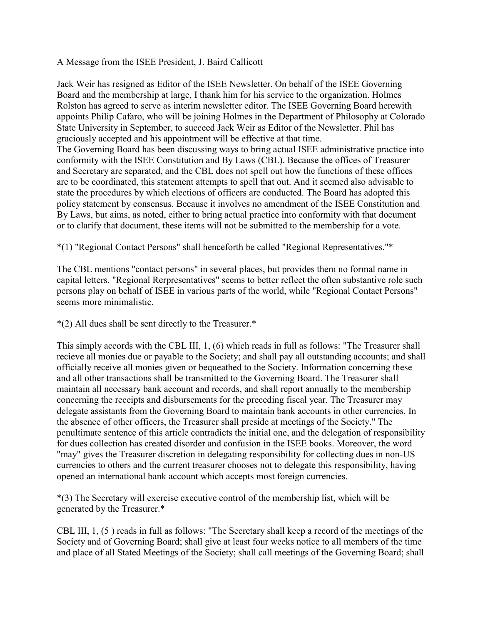A Message from the ISEE President, J. Baird Callicott

Jack Weir has resigned as Editor of the ISEE Newsletter. On behalf of the ISEE Governing Board and the membership at large, I thank him for his service to the organization. Holmes Rolston has agreed to serve as interim newsletter editor. The ISEE Governing Board herewith appoints Philip Cafaro, who will be joining Holmes in the Department of Philosophy at Colorado State University in September, to succeed Jack Weir as Editor of the Newsletter. Phil has graciously accepted and his appointment will be effective at that time.

The Governing Board has been discussing ways to bring actual ISEE administrative practice into conformity with the ISEE Constitution and By Laws (CBL). Because the offices of Treasurer and Secretary are separated, and the CBL does not spell out how the functions of these offices are to be coordinated, this statement attempts to spell that out. And it seemed also advisable to state the procedures by which elections of officers are conducted. The Board has adopted this policy statement by consensus. Because it involves no amendment of the ISEE Constitution and By Laws, but aims, as noted, either to bring actual practice into conformity with that document or to clarify that document, these items will not be submitted to the membership for a vote.

\*(1) "Regional Contact Persons" shall henceforth be called "Regional Representatives."\*

The CBL mentions "contact persons" in several places, but provides them no formal name in capital letters. "Regional Rerpresentatives" seems to better reflect the often substantive role such persons play on behalf of ISEE in various parts of the world, while "Regional Contact Persons" seems more minimalistic.

\*(2) All dues shall be sent directly to the Treasurer.\*

This simply accords with the CBL III, 1, (6) which reads in full as follows: "The Treasurer shall recieve all monies due or payable to the Society; and shall pay all outstanding accounts; and shall officially receive all monies given or bequeathed to the Society. Information concerning these and all other transactions shall be transmitted to the Governing Board. The Treasurer shall maintain all necessary bank account and records, and shall report annually to the membership concerning the receipts and disbursements for the preceding fiscal year. The Treasurer may delegate assistants from the Governing Board to maintain bank accounts in other currencies. In the absence of other officers, the Treasurer shall preside at meetings of the Society." The penultimate sentence of this article contradicts the initial one, and the delegation of responsibility for dues collection has created disorder and confusion in the ISEE books. Moreover, the word "may" gives the Treasurer discretion in delegating responsibility for collecting dues in non-US currencies to others and the current treasurer chooses not to delegate this responsibility, having opened an international bank account which accepts most foreign currencies.

\*(3) The Secretary will exercise executive control of the membership list, which will be generated by the Treasurer.\*

CBL III, 1, (5 ) reads in full as follows: "The Secretary shall keep a record of the meetings of the Society and of Governing Board; shall give at least four weeks notice to all members of the time and place of all Stated Meetings of the Society; shall call meetings of the Governing Board; shall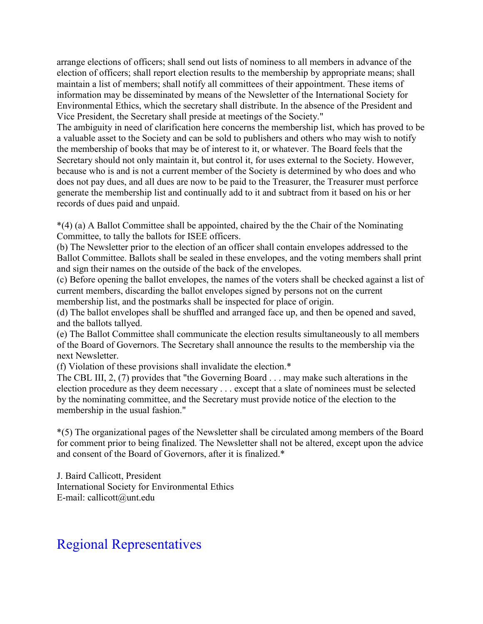arrange elections of officers; shall send out lists of nominess to all members in advance of the election of officers; shall report election results to the membership by appropriate means; shall maintain a list of members; shall notify all committees of their appointment. These items of information may be disseminated by means of the Newsletter of the International Society for Environmental Ethics, which the secretary shall distribute. In the absence of the President and Vice President, the Secretary shall preside at meetings of the Society."

The ambiguity in need of clarification here concerns the membership list, which has proved to be a valuable asset to the Society and can be sold to publishers and others who may wish to notify the membership of books that may be of interest to it, or whatever. The Board feels that the Secretary should not only maintain it, but control it, for uses external to the Society. However, because who is and is not a current member of the Society is determined by who does and who does not pay dues, and all dues are now to be paid to the Treasurer, the Treasurer must perforce generate the membership list and continually add to it and subtract from it based on his or her records of dues paid and unpaid.

\*(4) (a) A Ballot Committee shall be appointed, chaired by the the Chair of the Nominating Committee, to tally the ballots for ISEE officers.

(b) The Newsletter prior to the election of an officer shall contain envelopes addressed to the Ballot Committee. Ballots shall be sealed in these envelopes, and the voting members shall print and sign their names on the outside of the back of the envelopes.

(c) Before opening the ballot envelopes, the names of the voters shall be checked against a list of current members, discarding the ballot envelopes signed by persons not on the current membership list, and the postmarks shall be inspected for place of origin.

(d) The ballot envelopes shall be shuffled and arranged face up, and then be opened and saved, and the ballots tallyed.

(e) The Ballot Committee shall communicate the election results simultaneously to all members of the Board of Governors. The Secretary shall announce the results to the membership via the next Newsletter.

(f) Violation of these provisions shall invalidate the election.\*

The CBL III, 2, (7) provides that "the Governing Board . . . may make such alterations in the election procedure as they deem necessary . . . except that a slate of nominees must be selected by the nominating committee, and the Secretary must provide notice of the election to the membership in the usual fashion."

\*(5) The organizational pages of the Newsletter shall be circulated among members of the Board for comment prior to being finalized. The Newsletter shall not be altered, except upon the advice and consent of the Board of Governors, after it is finalized.\*

J. Baird Callicott, President International Society for Environmental Ethics E-mail: callicott@unt.edu

### Regional Representatives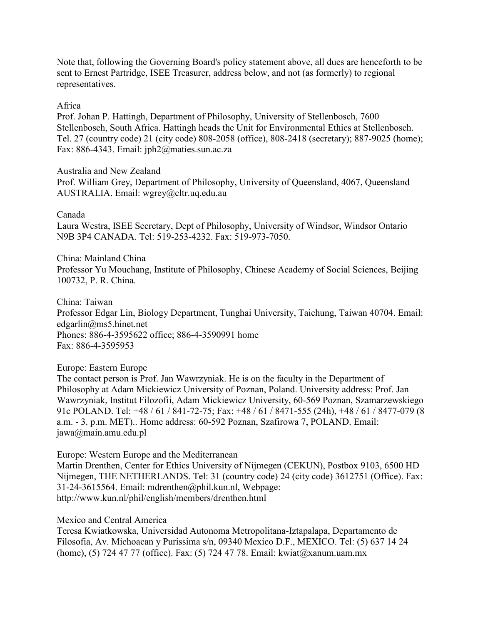Note that, following the Governing Board's policy statement above, all dues are henceforth to be sent to Ernest Partridge, ISEE Treasurer, address below, and not (as formerly) to regional representatives.

#### Africa

Prof. Johan P. Hattingh, Department of Philosophy, University of Stellenbosch, 7600 Stellenbosch, South Africa. Hattingh heads the Unit for Environmental Ethics at Stellenbosch. Tel. 27 (country code) 21 (city code) 808-2058 (office), 808-2418 (secretary); 887-9025 (home); Fax: 886-4343. Email: jph2@maties.sun.ac.za

### Australia and New Zealand

Prof. William Grey, Department of Philosophy, University of Queensland, 4067, Queensland AUSTRALIA. Email: wgrey@cltr.uq.edu.au

### Canada

Laura Westra, ISEE Secretary, Dept of Philosophy, University of Windsor, Windsor Ontario N9B 3P4 CANADA. Tel: 519-253-4232. Fax: 519-973-7050.

China: Mainland China Professor Yu Mouchang, Institute of Philosophy, Chinese Academy of Social Sciences, Beijing 100732, P. R. China.

China: Taiwan Professor Edgar Lin, Biology Department, Tunghai University, Taichung, Taiwan 40704. Email: edgarlin@ms5.hinet.net Phones: 886-4-3595622 office; 886-4-3590991 home Fax: 886-4-3595953

Europe: Eastern Europe

The contact person is Prof. Jan Wawrzyniak. He is on the faculty in the Department of Philosophy at Adam Mickiewicz University of Poznan, Poland. University address: Prof. Jan Wawrzyniak, Institut Filozofii, Adam Mickiewicz University, 60-569 Poznan, Szamarzewskiego 91c POLAND. Tel: +48 / 61 / 841-72-75; Fax: +48 / 61 / 8471-555 (24h), +48 / 61 / 8477-079 (8 a.m. - 3. p.m. MET).. Home address: 60-592 Poznan, Szafirowa 7, POLAND. Email: jawa@main.amu.edu.pl

Europe: Western Europe and the Mediterranean Martin Drenthen, Center for Ethics University of Nijmegen (CEKUN), Postbox 9103, 6500 HD Nijmegen, THE NETHERLANDS. Tel: 31 (country code) 24 (city code) 3612751 (Office). Fax: 31-24-3615564. Email: mdrenthen@phil.kun.nl, Webpage: http://www.kun.nl/phil/english/members/drenthen.html

### Mexico and Central America

Teresa Kwiatkowska, Universidad Autonoma Metropolitana-Iztapalapa, Departamento de Filosofia, Av. Michoacan y Purissima s/n, 09340 Mexico D.F., MEXICO. Tel: (5) 637 14 24 (home), (5) 724 47 77 (office). Fax: (5) 724 47 78. Email: kwiat@xanum.uam.mx